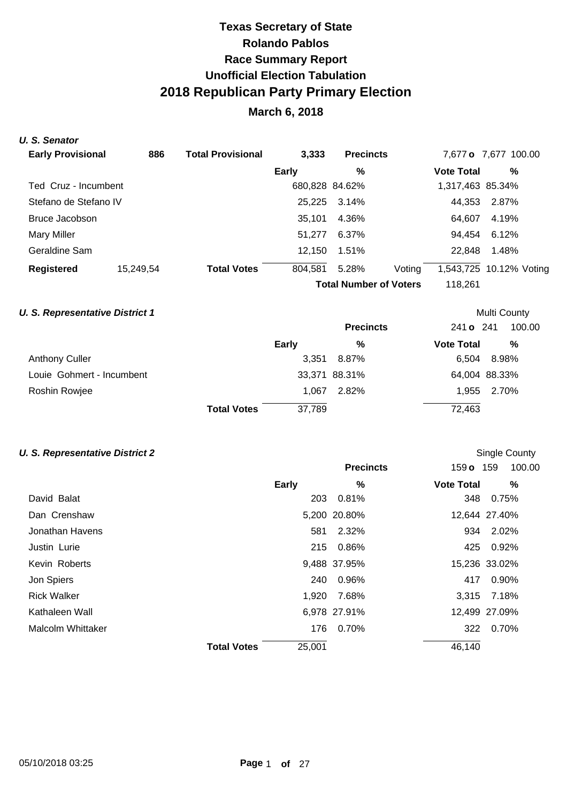# **March 6, 2018**

### **U. S. Senator**

| <b>Early Provisional</b> | 886       | <b>Total Provisional</b> | 3,333        | <b>Precincts</b>              |        |                   | 7,677 o 7,677 100.00    |
|--------------------------|-----------|--------------------------|--------------|-------------------------------|--------|-------------------|-------------------------|
|                          |           |                          | <b>Early</b> | %                             |        | <b>Vote Total</b> | %                       |
| Ted Cruz - Incumbent     |           |                          |              | 680,828 84.62%                |        | 1,317,463 85.34%  |                         |
| Stefano de Stefano IV    |           |                          | 25,225       | 3.14%                         |        | 44.353            | 2.87%                   |
| Bruce Jacobson           |           |                          | 35.101       | 4.36%                         |        | 64.607            | 4.19%                   |
| Mary Miller              |           |                          | 51.277       | 6.37%                         |        | 94.454            | 6.12%                   |
| Geraldine Sam            |           |                          | 12,150       | 1.51%                         |        | 22.848            | 1.48%                   |
| <b>Registered</b>        | 15,249,54 | <b>Total Votes</b>       | 804,581      | 5.28%                         | Voting |                   | 1,543,725 10.12% Voting |
|                          |           |                          |              | <b>Total Number of Voters</b> |        | 118.261           |                         |

### **U. S. Representative District 1 Multi County Multi County Multi County**

|                           |                    |              | <b>Precincts</b> | 241 o 241         | 100.00        |
|---------------------------|--------------------|--------------|------------------|-------------------|---------------|
|                           |                    | <b>Early</b> | %                | <b>Vote Total</b> | %             |
| <b>Anthony Culler</b>     |                    |              | 3,351 8.87%      | 6.504             | 8.98%         |
| Louie Gohmert - Incumbent |                    |              | 33,371 88.31%    |                   | 64,004 88.33% |
| Roshin Rowjee             |                    | 1.067        | 2.82%            |                   | 1,955 2.70%   |
|                           | <b>Total Votes</b> | 37,789       |                  | 72,463            |               |

### **U. S. Representative District 2 U. S. Representative District 2 Single County**

|                    |                              | <b>Precincts</b> | 159 <b>o</b> 159  | 100.00        |
|--------------------|------------------------------|------------------|-------------------|---------------|
|                    | <b>Early</b>                 | %                | <b>Vote Total</b> | %             |
| David Balat        | 203                          | 0.81%            |                   | 348 0.75%     |
| Dan Crenshaw       |                              | 5,200 20.80%     |                   | 12,644 27.40% |
| Jonathan Havens    | 581                          | 2.32%            | 934               | 2.02%         |
| Justin Lurie       |                              | 215 0.86%        |                   | 425 0.92%     |
| Kevin Roberts      |                              | 9,488 37.95%     |                   | 15,236 33.02% |
| Jon Spiers         | 240                          | 0.96%            | 417               | 0.90%         |
| <b>Rick Walker</b> | 1,920                        | 7.68%            | 3,315             | 7.18%         |
| Kathaleen Wall     |                              | 6,978 27.91%     |                   | 12,499 27.09% |
| Malcolm Whittaker  | 176                          | 0.70%            |                   | 322 0.70%     |
|                    | 25,001<br><b>Total Votes</b> |                  | 46,140            |               |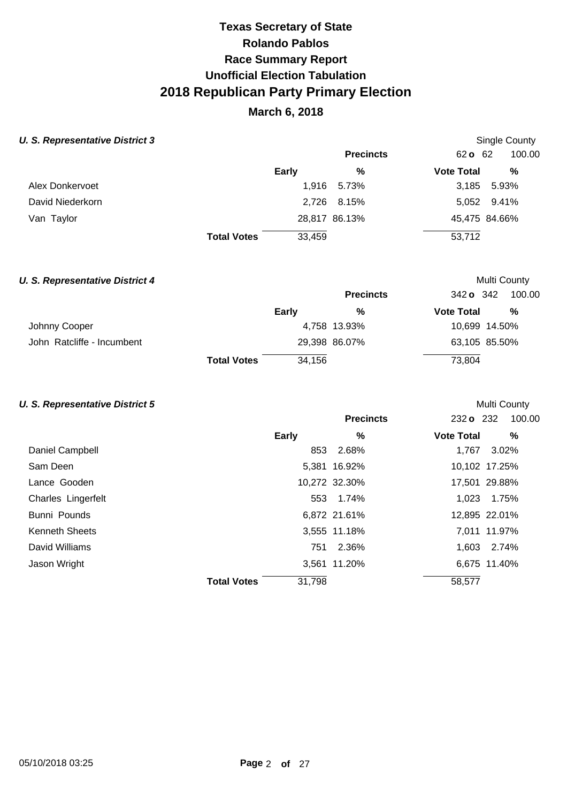# **March 6, 2018**

## **U. S. Representative District 3 Single County 3 Single County 3 Single County 3 Single County Single County**

|                  |                    | <b>Precincts</b> | 62 <b>o</b> 62<br>100.00 |
|------------------|--------------------|------------------|--------------------------|
|                  | Early              | %                | %<br><b>Vote Total</b>   |
| Alex Donkervoet  |                    | 1,916<br>5.73%   | 5.93%<br>3,185           |
| David Niederkorn |                    | 2,726 8.15%      | 5,052 9.41%              |
| Van Taylor       |                    | 28,817 86.13%    | 45,475 84.66%            |
|                  | <b>Total Votes</b> | 33,459           | 53,712                   |

## **U. S. Representative District 4 Multi County Multi County Multi County**

|                            |                    |        | <b>Precincts</b> | 342 o 342         | 100.00        |
|----------------------------|--------------------|--------|------------------|-------------------|---------------|
|                            |                    | Early  | %                | <b>Vote Total</b> | %             |
| Johnny Cooper              |                    |        | 4,758 13.93%     |                   | 10,699 14.50% |
| John Ratcliffe - Incumbent |                    |        | 29,398 86.07%    |                   | 63,105 85.50% |
|                            | <b>Total Votes</b> | 34,156 |                  | 73,804            |               |

### **U. S. Representative District 5 U. S. Representative District 5**

|                       |                    |        | <b>Precincts</b> | $232$ o $232$     | 100.00        |
|-----------------------|--------------------|--------|------------------|-------------------|---------------|
|                       |                    | Early  | %                | <b>Vote Total</b> | %             |
| Daniel Campbell       |                    | 853    | 2.68%            | 1.767             | 3.02%         |
| Sam Deen              |                    |        | 5,381 16.92%     |                   | 10,102 17.25% |
| Lance Gooden          |                    |        | 10,272 32.30%    |                   | 17,501 29.88% |
| Charles Lingerfelt    |                    |        | 553 1.74%        | 1,023             | 1.75%         |
| Bunni Pounds          |                    |        | 6,872 21.61%     |                   | 12,895 22.01% |
| <b>Kenneth Sheets</b> |                    |        | 3,555 11.18%     |                   | 7,011 11.97%  |
| David Williams        |                    | 751    | 2.36%            |                   | 1.603 2.74%   |
| Jason Wright          |                    |        | 3,561 11.20%     |                   | 6,675 11.40%  |
|                       | <b>Total Votes</b> | 31,798 |                  | 58,577            |               |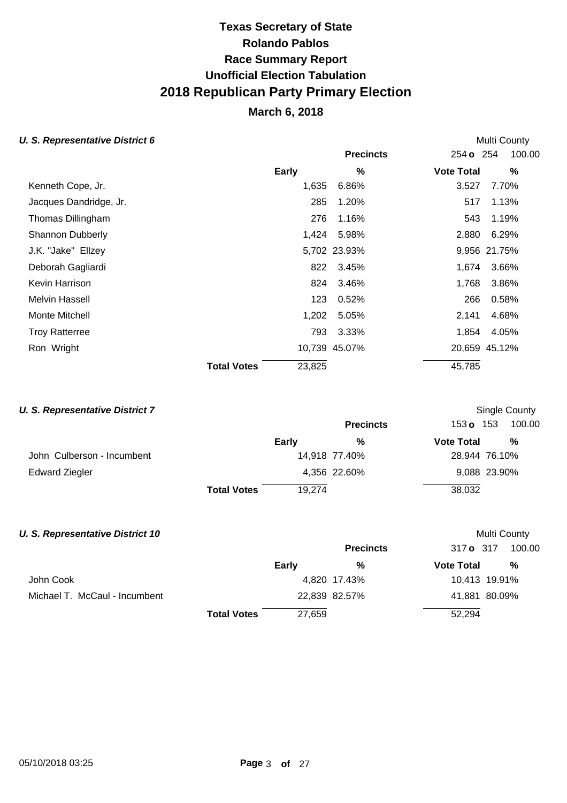# **March 6, 2018**

## **U. S. Representative District 6 Multi County Multi County Multi County**

|                         |                    |        | <b>Precincts</b> | 254 <b>o</b> 254  | 100.00        |
|-------------------------|--------------------|--------|------------------|-------------------|---------------|
|                         |                    | Early  | %                | <b>Vote Total</b> | %             |
| Kenneth Cope, Jr.       |                    | 1,635  | 6.86%            | 3,527             | 7.70%         |
| Jacques Dandridge, Jr.  |                    | 285    | 1.20%            | 517               | 1.13%         |
| Thomas Dillingham       |                    | 276    | 1.16%            | 543               | 1.19%         |
| <b>Shannon Dubberly</b> |                    | 1,424  | 5.98%            | 2,880             | 6.29%         |
| J.K. "Jake" Ellzey      |                    |        | 5,702 23.93%     |                   | 9,956 21.75%  |
| Deborah Gagliardi       |                    | 822    | 3.45%            | 1,674             | 3.66%         |
| Kevin Harrison          |                    | 824    | 3.46%            | 1,768             | 3.86%         |
| <b>Melvin Hassell</b>   |                    | 123    | 0.52%            | 266               | 0.58%         |
| Monte Mitchell          |                    | 1,202  | 5.05%            | 2,141             | 4.68%         |
| <b>Troy Ratterree</b>   |                    | 793    | 3.33%            | 1,854             | 4.05%         |
| Ron Wright              |                    |        | 10,739 45.07%    |                   | 20,659 45.12% |
|                         | <b>Total Votes</b> | 23,825 |                  | 45,785            |               |

### **U. S. Representative District 7 U. S. Representative District 7 Single County**

|                            |                    |        | <b>Precincts</b> | 153 <b>o</b> 153  | 100.00        |
|----------------------------|--------------------|--------|------------------|-------------------|---------------|
|                            |                    | Early  | %                | <b>Vote Total</b> | %             |
| John Culberson - Incumbent |                    |        | 14,918 77.40%    |                   | 28,944 76.10% |
| <b>Edward Ziegler</b>      |                    |        | 4,356 22.60%     |                   | 9,088 23.90%  |
|                            | <b>Total Votes</b> | 19.274 |                  | 38,032            |               |

# **U. S. Representative District 10 Multi County Multi County Multi County Precincts** 317 **o** 317 100.00 **Early % Vote Total %**  John Cook 10,413 19.91% Michael T. McCaul - Incumbent 22,839 82.57% 41,881 80.09% **Total Votes** 27,659 52,294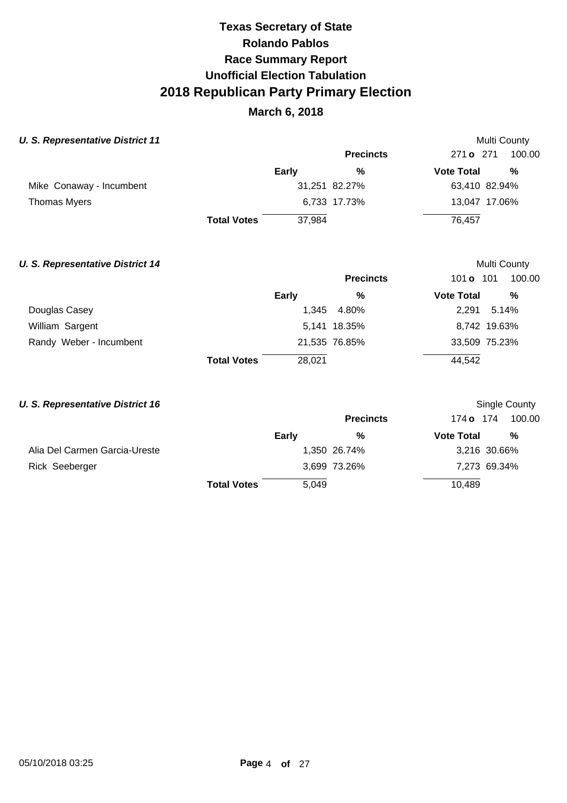# **March 6, 2018**

### **U. S. Representative District 11 Multi County Multi County Multi County**

|                          |                    |        | <b>Precincts</b> | 271 <b>o</b> 271  | 100.00        |
|--------------------------|--------------------|--------|------------------|-------------------|---------------|
|                          |                    | Early  | %                | <b>Vote Total</b> | %             |
| Mike Conaway - Incumbent |                    |        | 31,251 82.27%    |                   | 63,410 82.94% |
| <b>Thomas Myers</b>      |                    |        | 6,733 17.73%     |                   | 13,047 17.06% |
|                          | <b>Total Votes</b> | 37.984 |                  | 76.457            |               |

### **U. S. Representative District 14 Multi County Multi County Multi County**

|                         |                    |        | <b>Precincts</b> | 101 <b>o</b> 101  | 100.00        |
|-------------------------|--------------------|--------|------------------|-------------------|---------------|
|                         |                    | Early  | %                | <b>Vote Total</b> | %             |
| Douglas Casey           |                    |        | 1,345 4.80%      | 2.291             | 5.14%         |
| William Sargent         |                    |        | 5,141 18.35%     |                   | 8,742 19.63%  |
| Randy Weber - Incumbent |                    |        | 21,535 76.85%    |                   | 33,509 75.23% |
|                         | <b>Total Votes</b> | 28,021 |                  | 44,542            |               |

## **U. S. Representative District 16 U. S. Representative District 16 Single County**

|                               |                    |       | <b>Precincts</b> | 174 <b>o</b> 174  | 100.00       |
|-------------------------------|--------------------|-------|------------------|-------------------|--------------|
|                               |                    | Early | %                | <b>Vote Total</b> | $\%$         |
| Alia Del Carmen Garcia-Ureste |                    |       | 1,350 26.74%     |                   | 3,216 30.66% |
| Rick Seeberger                |                    |       | 3,699 73.26%     |                   | 7,273 69.34% |
|                               | <b>Total Votes</b> | 5,049 |                  | 10,489            |              |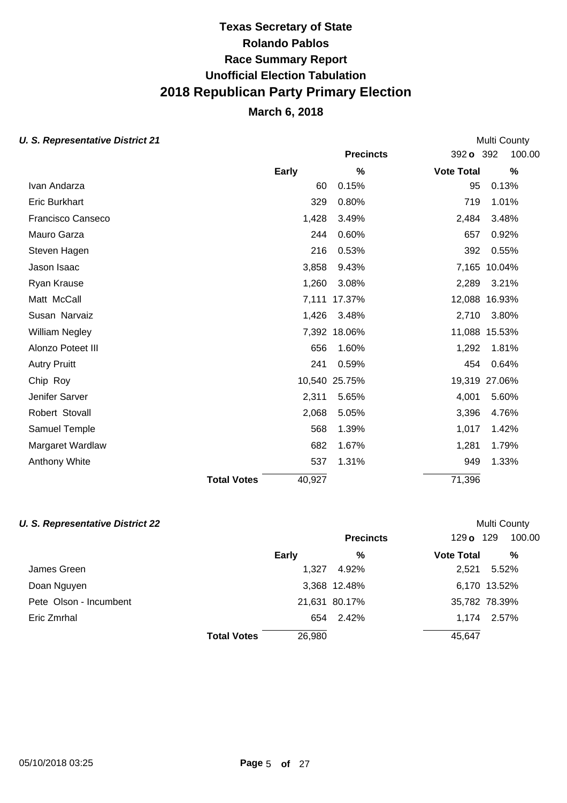# **March 6, 2018**

## **U. S. Representative District 21 Multi County Multi County Multi County**

| $\sigma$ . Representative <i>District</i> 21 |                    |              |                  |                   |               |
|----------------------------------------------|--------------------|--------------|------------------|-------------------|---------------|
|                                              |                    |              | <b>Precincts</b> | 392 o 392         | 100.00        |
|                                              |                    | <b>Early</b> | %                | <b>Vote Total</b> | $\%$          |
| Ivan Andarza                                 |                    | 60           | 0.15%            | 95                | 0.13%         |
| <b>Eric Burkhart</b>                         |                    | 329          | 0.80%            | 719               | 1.01%         |
| Francisco Canseco                            |                    | 1,428        | 3.49%            | 2,484             | 3.48%         |
| Mauro Garza                                  |                    | 244          | 0.60%            | 657               | 0.92%         |
| Steven Hagen                                 |                    | 216          | 0.53%            | 392               | 0.55%         |
| Jason Isaac                                  |                    | 3,858        | 9.43%            | 7,165             | 10.04%        |
| Ryan Krause                                  |                    | 1,260        | 3.08%            | 2,289             | 3.21%         |
| Matt McCall                                  |                    | 7,111        | 17.37%           | 12,088            | 16.93%        |
| Susan Narvaiz                                |                    | 1,426        | 3.48%            | 2,710             | 3.80%         |
| William Negley                               |                    |              | 7,392 18.06%     |                   | 11,088 15.53% |
| Alonzo Poteet III                            |                    | 656          | 1.60%            | 1,292             | 1.81%         |
| <b>Autry Pruitt</b>                          |                    | 241          | 0.59%            | 454               | 0.64%         |
| Chip Roy                                     |                    |              | 10,540 25.75%    | 19,319            | 27.06%        |
| Jenifer Sarver                               |                    | 2,311        | 5.65%            | 4,001             | 5.60%         |
| Robert Stovall                               |                    | 2,068        | 5.05%            | 3,396             | 4.76%         |
| Samuel Temple                                |                    | 568          | 1.39%            | 1,017             | 1.42%         |
| Margaret Wardlaw                             |                    | 682          | 1.67%            | 1,281             | 1.79%         |
| Anthony White                                |                    | 537          | 1.31%            | 949               | 1.33%         |
|                                              | <b>Total Votes</b> | 40,927       |                  | 71,396            |               |

### **U. S. Representative District 22 Multi County Multi County Multi County**

|                        |                              | <b>Precincts</b> | 129 o 129         | 100.00        |
|------------------------|------------------------------|------------------|-------------------|---------------|
|                        | <b>Early</b>                 | %                | <b>Vote Total</b> | %             |
| James Green            | 1.327                        | 4.92%            | 2.521             | 5.52%         |
| Doan Nguyen            |                              | 3,368 12.48%     |                   | 6,170 13.52%  |
| Pete Olson - Incumbent |                              | 21,631 80.17%    |                   | 35,782 78.39% |
| Eric Zmrhal            | 654                          | 2.42%            |                   | 1.174 2.57%   |
|                        | 26,980<br><b>Total Votes</b> |                  | 45,647            |               |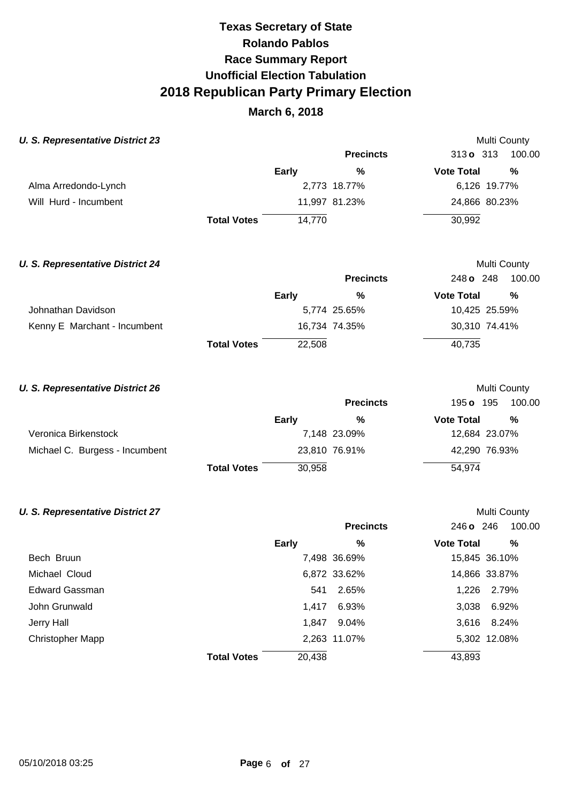# **March 6, 2018**

| <b>U. S. Representative District 23</b> |                    |              |                  |                     | <b>Multi County</b> |
|-----------------------------------------|--------------------|--------------|------------------|---------------------|---------------------|
|                                         |                    |              | <b>Precincts</b> | $313 \text{ o}$ 313 | 100.00              |
|                                         |                    | <b>Early</b> | %                | <b>Vote Total</b>   | %                   |
| Alma Arredondo-Lynch                    |                    |              | 2,773 18.77%     | 6,126 19.77%        |                     |
| Will Hurd - Incumbent                   |                    |              | 11,997 81.23%    | 24,866 80.23%       |                     |
|                                         | <b>Total Votes</b> | 14,770       |                  | 30,992              |                     |
| <b>U. S. Representative District 24</b> |                    |              |                  |                     | <b>Multi County</b> |
|                                         |                    |              | <b>Precincts</b> | 248 o 248           | 100.00              |
|                                         |                    | <b>Early</b> | %                | <b>Vote Total</b>   | $\%$                |
| Johnathan Davidson                      |                    |              | 5,774 25.65%     | 10,425 25.59%       |                     |
| Kenny E Marchant - Incumbent            |                    |              | 16,734 74.35%    | 30,310 74.41%       |                     |
|                                         | <b>Total Votes</b> | 22,508       |                  | 40,735              |                     |
|                                         |                    |              |                  |                     |                     |

|  |  | <b>U. S. Representative District 26</b> |  |
|--|--|-----------------------------------------|--|
|--|--|-----------------------------------------|--|

|                                |                    |        | <b>Precincts</b> | 195 <b>o</b> 195  | 100.00        |
|--------------------------------|--------------------|--------|------------------|-------------------|---------------|
|                                |                    | Early  | %                | <b>Vote Total</b> | %             |
| Veronica Birkenstock           |                    |        | 7,148 23.09%     |                   | 12,684 23.07% |
| Michael C. Burgess - Incumbent |                    |        | 23,810 76.91%    |                   | 42,290 76.93% |
|                                | <b>Total Votes</b> | 30,958 |                  | 54,974            |               |

Multi County

Multi County

### **U. S. Representative District 27**

|                  |                              | <b>Precincts</b> | 246 o 246         | 100.00        |
|------------------|------------------------------|------------------|-------------------|---------------|
|                  | Early                        | %                | <b>Vote Total</b> | %             |
| Bech Bruun       |                              | 7,498 36.69%     |                   | 15,845 36.10% |
| Michael Cloud    |                              | 6,872 33.62%     |                   | 14,866 33.87% |
| Edward Gassman   | 541                          | 2.65%            |                   | 1,226 2.79%   |
| John Grunwald    | 1.417                        | 6.93%            | 3,038             | 6.92%         |
| Jerry Hall       | 1,847                        | 9.04%            |                   | 3,616 8.24%   |
| Christopher Mapp |                              | 2,263 11.07%     |                   | 5,302 12.08%  |
|                  | 20,438<br><b>Total Votes</b> |                  | 43,893            |               |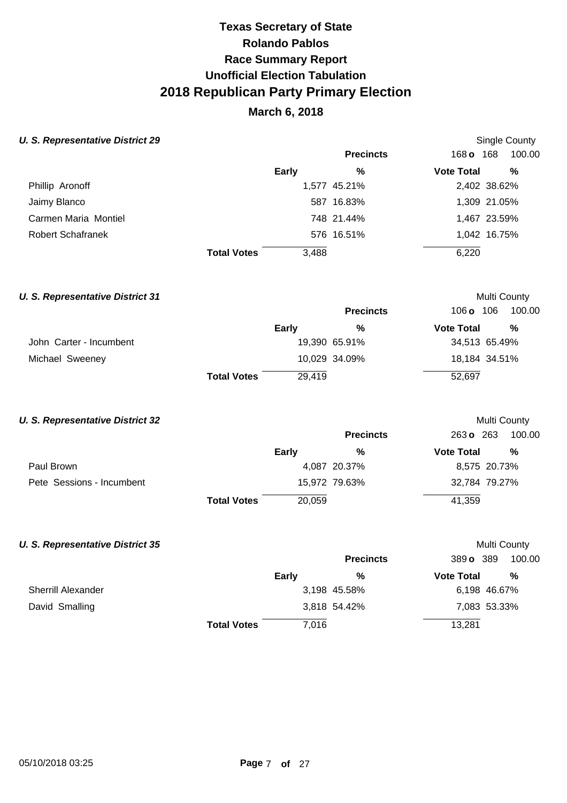# **March 6, 2018**

## **U. S. Representative District 29 Single County Single County Single County**

|                          |                             | <b>Precincts</b> | 168 <b>o</b> 168  | 100.00       |
|--------------------------|-----------------------------|------------------|-------------------|--------------|
|                          | Early                       | %                | <b>Vote Total</b> | %            |
| Phillip Aronoff          |                             | 1,577 45.21%     |                   | 2,402 38.62% |
| Jaimy Blanco             |                             | 587 16.83%       |                   | 1,309 21.05% |
| Carmen Maria Montiel     |                             | 748 21.44%       |                   | 1,467 23.59% |
| <b>Robert Schafranek</b> |                             | 576 16.51%       |                   | 1,042 16.75% |
|                          | <b>Total Votes</b><br>3,488 |                  | 6,220             |              |

## **U. S. Representative District 31 Multi County Multi County Multi County**

|                         |                    |        | <b>Precincts</b> | 106 o             | 106<br>100.00 |
|-------------------------|--------------------|--------|------------------|-------------------|---------------|
|                         |                    | Early  | %                | <b>Vote Total</b> | %             |
| John Carter - Incumbent |                    |        | 19,390 65.91%    |                   | 34,513 65.49% |
| Michael Sweeney         |                    |        | 10,029 34.09%    |                   | 18,184 34.51% |
|                         | <b>Total Votes</b> | 29.419 |                  | 52,697            |               |

## **U. S. Representative District 32 Multi County Multi County Multi County**

|                           |                    |        | <b>Precincts</b> | 263 o 263         | 100.00        |
|---------------------------|--------------------|--------|------------------|-------------------|---------------|
|                           |                    | Early  | %                | <b>Vote Total</b> | %             |
| Paul Brown                |                    |        | 4,087 20.37%     |                   | 8,575 20.73%  |
| Pete Sessions - Incumbent |                    |        | 15,972 79.63%    |                   | 32,784 79.27% |
|                           | <b>Total Votes</b> | 20,059 |                  | 41,359            |               |

### **U. S. Representative District 35 Multi County Accounty Accounty Accounty Multi County Accounty Multi County**

|                           |                    |       | <b>Precincts</b> | 389 o 389         | 100.00       |
|---------------------------|--------------------|-------|------------------|-------------------|--------------|
|                           |                    | Early | %                | <b>Vote Total</b> | %            |
| <b>Sherrill Alexander</b> |                    |       | 3,198 45.58%     |                   | 6,198 46.67% |
| David Smalling            |                    |       | 3,818 54.42%     |                   | 7,083 53.33% |
|                           | <b>Total Votes</b> | 7,016 |                  | 13,281            |              |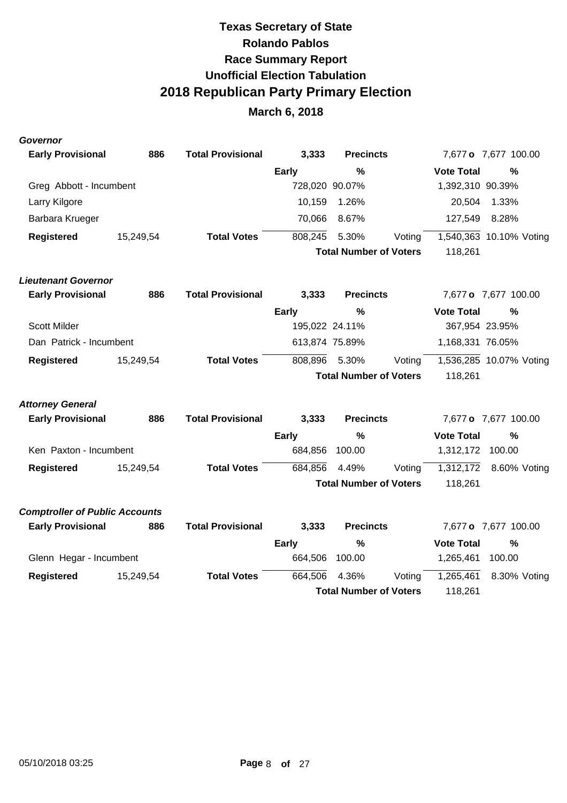# **March 6, 2018**

### **Governor**

| <b>Early Provisional</b>              | 886       | <b>Total Provisional</b> | 3,333          | <b>Precincts</b>              |        |                   | 7,677 o 7,677 100.00    |
|---------------------------------------|-----------|--------------------------|----------------|-------------------------------|--------|-------------------|-------------------------|
|                                       |           |                          | Early          | $\frac{0}{0}$                 |        | <b>Vote Total</b> | %                       |
| Greg Abbott - Incumbent               |           |                          | 728,020 90.07% |                               |        | 1,392,310 90.39%  |                         |
| Larry Kilgore                         |           |                          | 10,159         | 1.26%                         |        | 20,504            | 1.33%                   |
| Barbara Krueger                       |           |                          | 70,066         | 8.67%                         |        | 127,549           | 8.28%                   |
| <b>Registered</b>                     | 15,249,54 | <b>Total Votes</b>       | 808,245        | 5.30%                         | Voting |                   | 1,540,363 10.10% Voting |
|                                       |           |                          |                | <b>Total Number of Voters</b> |        | 118,261           |                         |
| <b>Lieutenant Governor</b>            |           |                          |                |                               |        |                   |                         |
| <b>Early Provisional</b>              | 886       | <b>Total Provisional</b> | 3,333          | <b>Precincts</b>              |        |                   | 7,677 o 7,677 100.00    |
|                                       |           |                          | <b>Early</b>   | $\frac{0}{0}$                 |        | <b>Vote Total</b> | $\frac{0}{0}$           |
| <b>Scott Milder</b>                   |           |                          | 195,022 24.11% |                               |        | 367,954 23.95%    |                         |
| Dan Patrick - Incumbent               |           |                          | 613,874 75.89% |                               |        | 1,168,331 76.05%  |                         |
| <b>Registered</b>                     | 15,249,54 | <b>Total Votes</b>       | 808,896        | 5.30%                         | Voting |                   | 1,536,285 10.07% Voting |
|                                       |           |                          |                | <b>Total Number of Voters</b> |        | 118,261           |                         |
| <b>Attorney General</b>               |           |                          |                |                               |        |                   |                         |
| <b>Early Provisional</b>              | 886       | <b>Total Provisional</b> | 3,333          | <b>Precincts</b>              |        |                   | 7,677 o 7,677 100.00    |
|                                       |           |                          | <b>Early</b>   | $\%$                          |        | <b>Vote Total</b> | $\%$                    |
| Ken Paxton - Incumbent                |           |                          | 684,856        | 100.00                        |        | 1,312,172         | 100.00                  |
| <b>Registered</b>                     | 15,249,54 | <b>Total Votes</b>       | 684,856        | 4.49%                         | Voting | 1,312,172         | 8.60% Voting            |
|                                       |           |                          |                | <b>Total Number of Voters</b> |        | 118,261           |                         |
| <b>Comptroller of Public Accounts</b> |           |                          |                |                               |        |                   |                         |
| <b>Early Provisional</b>              | 886       | <b>Total Provisional</b> | 3,333          | <b>Precincts</b>              |        |                   | 7,677 o 7,677 100.00    |
|                                       |           |                          | <b>Early</b>   | $\frac{0}{0}$                 |        | <b>Vote Total</b> | $\%$                    |
| Glenn Hegar - Incumbent               |           |                          | 664,506        | 100.00                        |        | 1,265,461         | 100.00                  |
| <b>Registered</b>                     | 15,249,54 | <b>Total Votes</b>       | 664,506        | 4.36%                         | Voting | 1,265,461         | 8.30% Voting            |
|                                       |           |                          |                | <b>Total Number of Voters</b> |        | 118,261           |                         |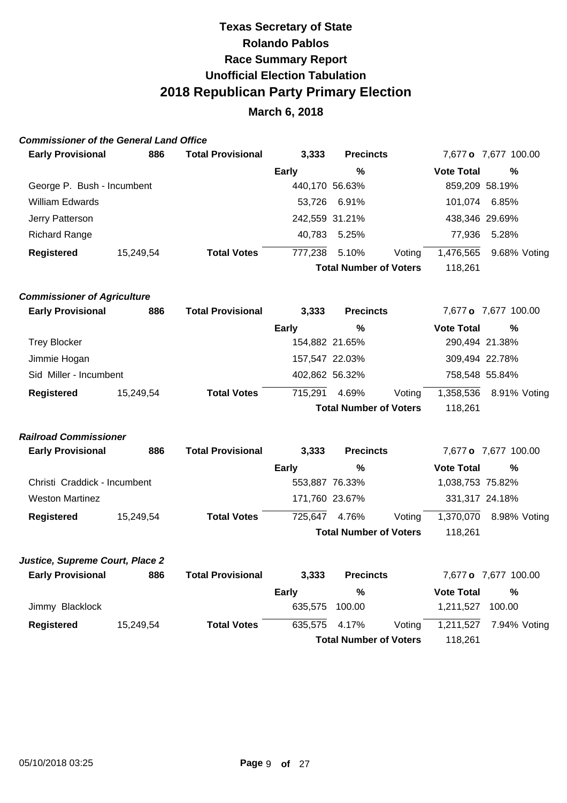## **March 6, 2018**

### **Commissioner of the General Land Office**

| <b>Early Provisional</b>   | 886       | <b>Total Provisional</b> | 3,333          | <b>Precincts</b>              |        |                   | 7,677 o 7,677 100.00 |  |
|----------------------------|-----------|--------------------------|----------------|-------------------------------|--------|-------------------|----------------------|--|
|                            |           |                          | Early          | %                             |        | <b>Vote Total</b> | %                    |  |
| George P. Bush - Incumbent |           |                          |                | 440,170 56.63%                |        | 859,209 58.19%    |                      |  |
| <b>William Edwards</b>     |           |                          |                | 53,726 6.91%                  |        | 101.074           | 6.85%                |  |
| Jerry Patterson            |           |                          | 242,559 31.21% |                               |        | 438,346 29.69%    |                      |  |
| <b>Richard Range</b>       |           |                          | 40,783         | 5.25%                         |        | 77.936            | 5.28%                |  |
| <b>Registered</b>          | 15,249,54 | <b>Total Votes</b>       | 777,238        | 5.10%                         | Voting | 1,476,565         | 9.68% Voting         |  |
|                            |           |                          |                | <b>Total Number of Voters</b> |        | 118,261           |                      |  |
|                            |           |                          |                |                               |        |                   |                      |  |

## **Commissioner of Agriculture**

| <b>Early Provisional</b> |           | 886 | <b>Total Provisional</b> | 3,333          | <b>Precincts</b>              |        |                   | 7,677 o 7,677 100.00 |  |
|--------------------------|-----------|-----|--------------------------|----------------|-------------------------------|--------|-------------------|----------------------|--|
|                          |           |     |                          | <b>Early</b>   | %                             |        | <b>Vote Total</b> | %                    |  |
| <b>Trey Blocker</b>      |           |     |                          | 154,882 21.65% |                               |        | 290,494 21.38%    |                      |  |
| Jimmie Hogan             |           |     |                          | 157,547 22.03% |                               |        | 309,494 22.78%    |                      |  |
| Sid Miller - Incumbent   |           |     |                          | 402,862 56.32% |                               |        | 758,548 55.84%    |                      |  |
| Registered               | 15,249,54 |     | <b>Total Votes</b>       | 715.291        | 4.69%                         | Voting | 1,358,536         | 8.91% Voting         |  |
|                          |           |     |                          |                | <b>Total Number of Voters</b> |        | 118.261           |                      |  |

### **Railroad Commissioner**

| <b>Early Provisional</b>     | 886       | <b>Total Provisional</b> | 3,333          | <b>Precincts</b>              |        |                   | 7,677 o 7,677 100.00 |  |
|------------------------------|-----------|--------------------------|----------------|-------------------------------|--------|-------------------|----------------------|--|
|                              |           |                          | Early          | %                             |        | <b>Vote Total</b> | %                    |  |
| Christi Craddick - Incumbent |           |                          | 553.887 76.33% |                               |        | 1,038,753 75.82%  |                      |  |
| <b>Weston Martinez</b>       |           |                          |                | 171,760 23.67%                |        | 331,317 24.18%    |                      |  |
| Registered                   | 15,249,54 | <b>Total Votes</b>       | 725.647        | 4.76%                         | Voting | 1,370,070         | 8.98% Voting         |  |
|                              |           |                          |                | <b>Total Number of Voters</b> |        | 118.261           |                      |  |

## **Justice, Supreme Court, Place 2**

| <b>Early Provisional</b> | 886       | <b>Total Provisional</b> | 3.333         | <b>Precincts</b>              |        |                   | 7,677 o 7,677 100.00   |
|--------------------------|-----------|--------------------------|---------------|-------------------------------|--------|-------------------|------------------------|
|                          |           |                          | Early         | %                             |        | <b>Vote Total</b> | %                      |
| Jimmy Blacklock          |           |                          | 635.575       | 100.00                        |        | 1.211.527         | 100.00                 |
| Registered               | 15,249,54 | <b>Total Votes</b>       | 635.575 4.17% |                               | Votina |                   | 1,211,527 7.94% Voting |
|                          |           |                          |               | <b>Total Number of Voters</b> |        | 118.261           |                        |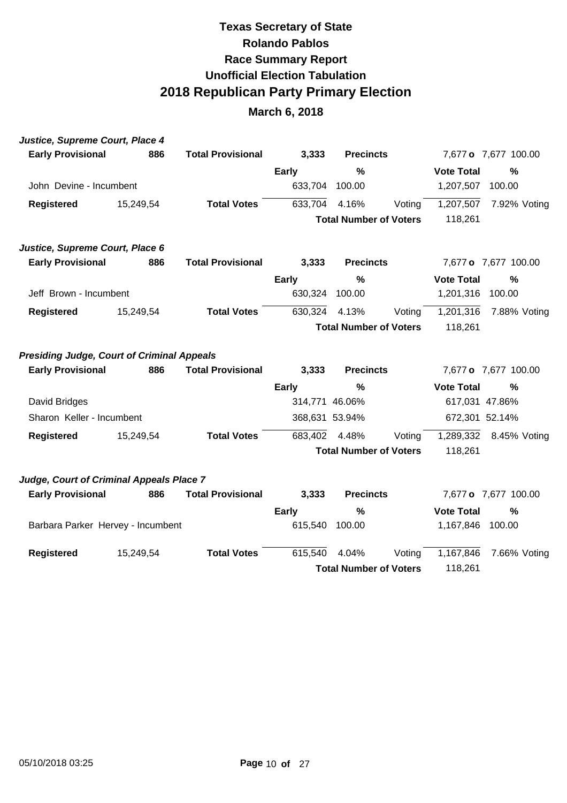| Justice, Supreme Court, Place 4                   |           |                          |                |                               |        |                   |                      |
|---------------------------------------------------|-----------|--------------------------|----------------|-------------------------------|--------|-------------------|----------------------|
| <b>Early Provisional</b>                          | 886       | <b>Total Provisional</b> | 3,333          | <b>Precincts</b>              |        |                   | 7,677 o 7,677 100.00 |
|                                                   |           |                          | <b>Early</b>   | $\frac{0}{0}$                 |        | <b>Vote Total</b> | $\frac{0}{0}$        |
| John Devine - Incumbent                           |           |                          | 633,704        | 100.00                        |        | 1,207,507         | 100.00               |
| <b>Registered</b>                                 | 15,249,54 | <b>Total Votes</b>       | 633,704        | 4.16%                         | Voting | 1,207,507         | 7.92% Voting         |
|                                                   |           |                          |                | <b>Total Number of Voters</b> |        | 118,261           |                      |
| Justice, Supreme Court, Place 6                   |           |                          |                |                               |        |                   |                      |
| <b>Early Provisional</b>                          | 886       | <b>Total Provisional</b> | 3,333          | <b>Precincts</b>              |        |                   | 7,677 o 7,677 100.00 |
|                                                   |           |                          | <b>Early</b>   | $\frac{0}{0}$                 |        | <b>Vote Total</b> | $\frac{0}{0}$        |
| Jeff Brown - Incumbent                            |           |                          | 630,324        | 100.00                        |        | 1,201,316         | 100.00               |
| <b>Registered</b>                                 | 15,249,54 | <b>Total Votes</b>       | 630,324        | 4.13%                         | Voting | 1,201,316         | 7.88% Voting         |
|                                                   |           |                          |                | <b>Total Number of Voters</b> |        | 118,261           |                      |
| <b>Presiding Judge, Court of Criminal Appeals</b> |           |                          |                |                               |        |                   |                      |
| <b>Early Provisional</b>                          | 886       | <b>Total Provisional</b> | 3,333          | <b>Precincts</b>              |        |                   | 7,677 o 7,677 100.00 |
|                                                   |           |                          | Early          | %                             |        | <b>Vote Total</b> | $\frac{0}{2}$        |
| David Bridges                                     |           |                          | 314,771 46.06% |                               |        | 617,031 47.86%    |                      |
| Sharon Keller - Incumbent                         |           |                          | 368,631 53.94% |                               |        | 672,301 52.14%    |                      |
| <b>Registered</b>                                 | 15,249,54 | <b>Total Votes</b>       | 683,402        | 4.48%                         | Voting | 1,289,332         | 8.45% Voting         |
|                                                   |           |                          |                | <b>Total Number of Voters</b> |        | 118,261           |                      |
| Judge, Court of Criminal Appeals Place 7          |           |                          |                |                               |        |                   |                      |
| <b>Early Provisional</b>                          | 886       | <b>Total Provisional</b> | 3,333          | <b>Precincts</b>              |        |                   | 7,677 o 7,677 100.00 |
|                                                   |           |                          | <b>Early</b>   | $\frac{0}{0}$                 |        | <b>Vote Total</b> | $\frac{0}{0}$        |
| Barbara Parker Hervey - Incumbent                 |           |                          | 615,540        | 100.00                        |        | 1,167,846         | 100.00               |
| <b>Registered</b>                                 | 15,249,54 | <b>Total Votes</b>       | 615,540        | 4.04%                         | Voting | 1,167,846         | 7.66% Voting         |
|                                                   |           |                          |                | <b>Total Number of Voters</b> |        | 118,261           |                      |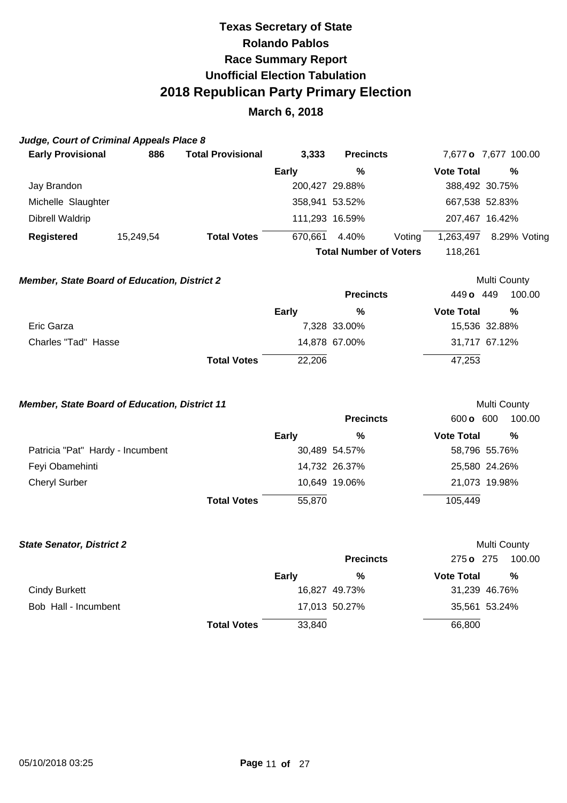# **March 6, 2018**

## **Judge, Court of Criminal Appeals Place 8**

| <b>Early Provisional</b>                            | 886       | <b>Total Provisional</b> | 3,333   | <b>Precincts</b>              |        |                   | 7,677 o 7,677 100.00 |
|-----------------------------------------------------|-----------|--------------------------|---------|-------------------------------|--------|-------------------|----------------------|
|                                                     |           |                          | Early   | %                             |        | <b>Vote Total</b> | %                    |
| Jay Brandon                                         |           |                          |         | 200,427 29.88%                |        |                   | 388,492 30.75%       |
| Michelle Slaughter                                  |           |                          |         | 358,941 53.52%                |        |                   | 667,538 52.83%       |
| Dibrell Waldrip                                     |           |                          |         | 111,293 16.59%                |        |                   | 207,467 16.42%       |
| Registered                                          | 15,249,54 | <b>Total Votes</b>       | 670,661 | 4.40%                         | Voting | 1,263,497         | 8.29% Voting         |
|                                                     |           |                          |         | <b>Total Number of Voters</b> |        | 118,261           |                      |
| <b>Member, State Board of Education, District 2</b> |           |                          |         |                               |        |                   | Multi County         |
|                                                     |           |                          |         | <b>Precincts</b>              |        | 449 o             | 449<br>100.00        |

|                     |                    |        | .             |                   | .             |
|---------------------|--------------------|--------|---------------|-------------------|---------------|
|                     |                    | Early  | %             | <b>Vote Total</b> | %             |
| Eric Garza          |                    |        | 7,328 33.00%  |                   | 15,536 32.88% |
| Charles "Tad" Hasse |                    |        | 14,878 67.00% |                   | 31,717 67.12% |
|                     | <b>Total Votes</b> | 22,206 |               | 47,253            |               |

### **Member, State Board of Education, District 11 Multi County Multi County**

|                                  |                    |        | <b>Precincts</b> | 600 o 600         | 100.00        |
|----------------------------------|--------------------|--------|------------------|-------------------|---------------|
|                                  |                    | Early  | %                | <b>Vote Total</b> | %             |
| Patricia "Pat" Hardy - Incumbent |                    |        | 30,489 54.57%    |                   | 58,796 55.76% |
| Feyi Obamehinti                  |                    |        | 14,732 26.37%    |                   | 25,580 24.26% |
| <b>Cheryl Surber</b>             |                    |        | 10,649 19.06%    |                   | 21,073 19.98% |
|                                  | <b>Total Votes</b> | 55,870 |                  | 105,449           |               |

| <b>State Senator, District 2</b> |                    |              |                  |                   | Multi County  |
|----------------------------------|--------------------|--------------|------------------|-------------------|---------------|
|                                  |                    |              | <b>Precincts</b> | 275 o 275         | 100.00        |
|                                  |                    | <b>Early</b> | %                | <b>Vote Total</b> | %             |
| <b>Cindy Burkett</b>             |                    |              | 16,827 49.73%    |                   | 31,239 46.76% |
| Bob Hall - Incumbent             |                    |              | 17,013 50.27%    |                   | 35,561 53.24% |
|                                  | <b>Total Votes</b> | 33,840       |                  | 66,800            |               |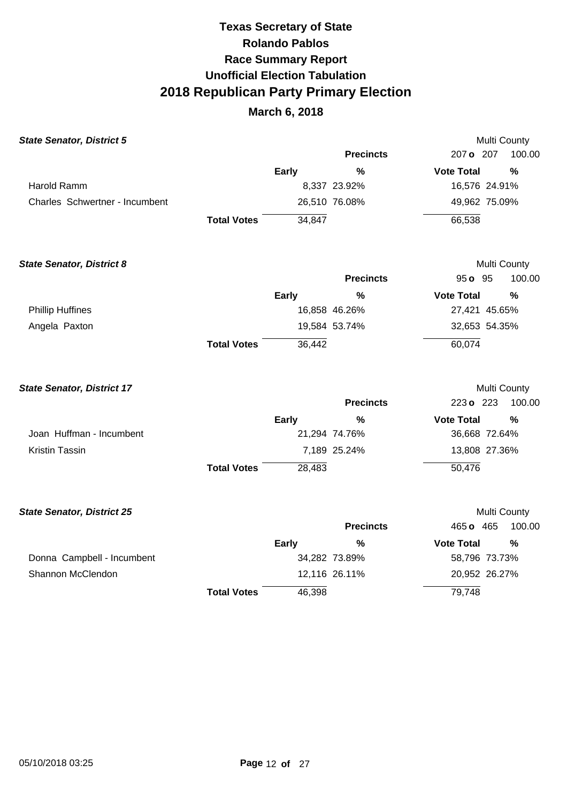| <b>State Senator, District 5</b>  |                    |              |                  | Multi County      |               |
|-----------------------------------|--------------------|--------------|------------------|-------------------|---------------|
|                                   |                    |              | <b>Precincts</b> | 207 o 207         | 100.00        |
|                                   |                    | <b>Early</b> | $\%$             | <b>Vote Total</b> | %             |
| <b>Harold Ramm</b>                |                    |              | 8,337 23.92%     | 16,576 24.91%     |               |
| Charles Schwertner - Incumbent    |                    |              | 26,510 76.08%    | 49,962 75.09%     |               |
|                                   | <b>Total Votes</b> | 34,847       |                  | 66,538            |               |
| <b>State Senator, District 8</b>  |                    |              |                  | Multi County      |               |
|                                   |                    |              | <b>Precincts</b> | 95 o 95           | 100.00        |
|                                   |                    | <b>Early</b> | $\frac{0}{0}$    | <b>Vote Total</b> | $\frac{0}{0}$ |
| <b>Phillip Huffines</b>           |                    |              | 16,858 46.26%    | 27,421 45.65%     |               |
| Angela Paxton                     |                    |              | 19,584 53.74%    | 32,653 54.35%     |               |
|                                   | <b>Total Votes</b> | 36,442       |                  | 60,074            |               |
| <b>State Senator, District 17</b> |                    |              |                  | Multi County      |               |
|                                   |                    |              | <b>Precincts</b> | 223 o 223         | 100.00        |
|                                   |                    | <b>Early</b> | $\frac{0}{0}$    | <b>Vote Total</b> | %             |
| Joan Huffman - Incumbent          |                    |              | 21,294 74.76%    | 36,668 72.64%     |               |
| Kristin Tassin                    |                    |              | 7,189 25.24%     | 13,808 27.36%     |               |
|                                   | <b>Total Votes</b> | 28,483       |                  | 50,476            |               |
| <b>State Senator, District 25</b> |                    |              |                  |                   | Multi County  |
|                                   |                    |              | <b>Precincts</b> | 465 o 465         | 100.00        |
|                                   |                    | <b>Early</b> | %                | <b>Vote Total</b> | %             |
| Donna Campbell - Incumbent        |                    |              | 34,282 73.89%    | 58,796 73.73%     |               |
| Shannon McClendon                 |                    |              | 12,116 26.11%    | 20,952 26.27%     |               |
|                                   | <b>Total Votes</b> | 46,398       |                  | 79,748            |               |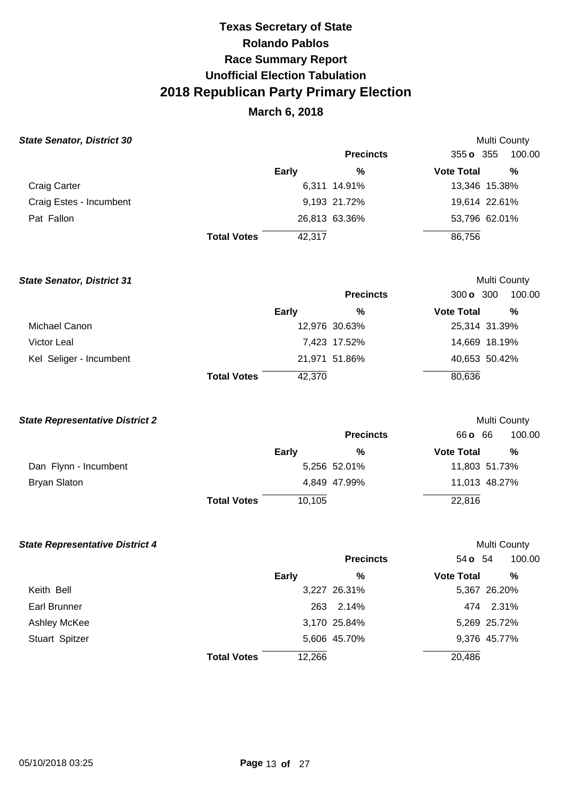## **March 6, 2018**

### **State Senator, District 30**

| State Senator, District 30 |                    |              |                  |                   | <b>Multi County</b> |
|----------------------------|--------------------|--------------|------------------|-------------------|---------------------|
|                            |                    |              | <b>Precincts</b> | 355 <b>o</b> 355  | 100.00              |
|                            |                    | <b>Early</b> | %                | <b>Vote Total</b> | %                   |
| <b>Craig Carter</b>        |                    |              | 6,311 14.91%     |                   | 13,346 15.38%       |
| Craig Estes - Incumbent    |                    |              | 9,193 21.72%     |                   | 19,614 22.61%       |
| Pat Fallon                 |                    |              | 26,813 63.36%    |                   | 53,796 62.01%       |
|                            | <b>Total Votes</b> | 42,317       |                  | 86,756            |                     |

**State Senator, District 31**  Michael Canon Victor Leal Kel Seliger - Incumbent **Total Votes Early**  12,976 30.63% 7,423 17.52% 21,971 51.86% 42,370 **Precincts %**  Multi County 300 **o** 300 100.00 **Vote Total %**  25,314 31.39% 14,669 18.19% 40,653 50.42% 80,636

### **State Representative District 2**

|                       |                    |        | <b>Precincts</b> | 66 <b>o</b> 66    | 100.00        |
|-----------------------|--------------------|--------|------------------|-------------------|---------------|
|                       |                    | Early  | %                | <b>Vote Total</b> | %             |
| Dan Flynn - Incumbent |                    |        | 5,256 52.01%     |                   | 11,803 51.73% |
| Bryan Slaton          |                    |        | 4,849 47.99%     |                   | 11,013 48.27% |
|                       | <b>Total Votes</b> | 10,105 |                  | 22,816            |               |

Multi County

### **State Representative District 4**

| tate Representative District 4 |                    |                  | <b>Multi County</b>      |
|--------------------------------|--------------------|------------------|--------------------------|
|                                |                    | <b>Precincts</b> | 100.00<br>54 <b>o</b> 54 |
|                                | <b>Early</b>       | %                | %<br><b>Vote Total</b>   |
| Keith Bell                     |                    | 3,227 26.31%     | 5,367 26.20%             |
| Earl Brunner                   |                    | 2.14%<br>263     | 474 2.31%                |
| Ashley McKee                   |                    | 3,170 25.84%     | 5,269 25.72%             |
| Stuart Spitzer                 |                    | 5,606 45.70%     | 9,376 45.77%             |
|                                | <b>Total Votes</b> | 12,266           | 20,486                   |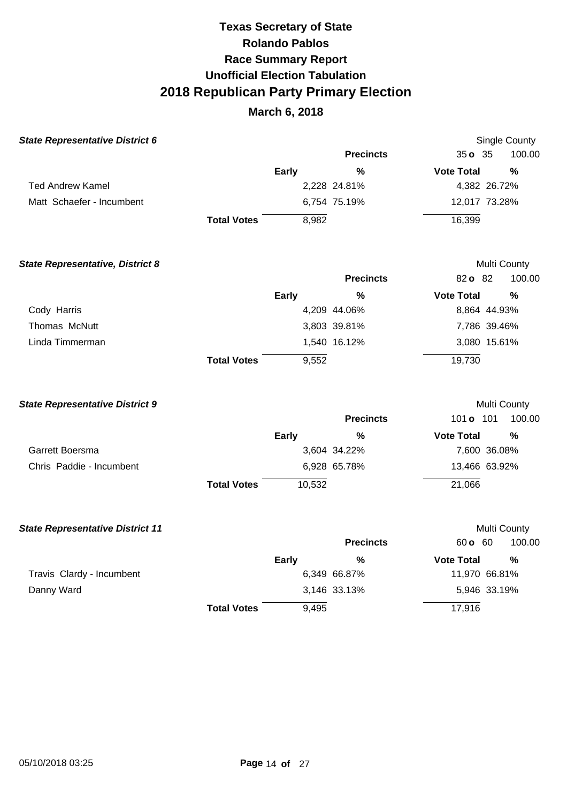| <b>State Representative District 6</b> |                    |              |                  |                   | Single County |
|----------------------------------------|--------------------|--------------|------------------|-------------------|---------------|
|                                        |                    |              | <b>Precincts</b> | $35o$ 35          | 100.00        |
|                                        |                    | <b>Early</b> | %                | <b>Vote Total</b> | %             |
| Ted Andrew Kamel                       |                    |              | 2,228 24.81%     |                   | 4,382 26.72%  |
| Matt Schaefer - Incumbent              |                    |              | 6,754 75.19%     |                   | 12,017 73.28% |
|                                        | <b>Total Votes</b> | 8,982        |                  | 16,399            |               |
|                                        |                    |              |                  |                   |               |

| <b>State Representative, District 8</b> |                    |              |                  |                   | Multi County |
|-----------------------------------------|--------------------|--------------|------------------|-------------------|--------------|
|                                         |                    |              | <b>Precincts</b> | 82 o 82           | 100.00       |
|                                         |                    | <b>Early</b> | %                | <b>Vote Total</b> | %            |
| Cody Harris                             |                    |              | 4,209 44.06%     |                   | 8,864 44.93% |
| Thomas McNutt                           |                    |              | 3,803 39.81%     |                   | 7,786 39.46% |
| Linda Timmerman                         |                    |              | 1,540 16.12%     |                   | 3,080 15.61% |
|                                         | <b>Total Votes</b> | 9,552        |                  | 19,730            |              |

| <b>State Representative District 9</b> |                    |              |                  |                   | Multi County  |  |
|----------------------------------------|--------------------|--------------|------------------|-------------------|---------------|--|
|                                        |                    |              | <b>Precincts</b> | 101 <b>o</b>      | 100.00<br>101 |  |
|                                        |                    | <b>Early</b> | %                | <b>Vote Total</b> | %             |  |
| Garrett Boersma                        |                    |              | 3,604 34.22%     |                   | 7,600 36.08%  |  |
| Chris Paddie - Incumbent               |                    |              | 6,928 65.78%     |                   | 13,466 63.92% |  |
|                                        | <b>Total Votes</b> | 10,532       |                  | 21,066            |               |  |

| <b>State Representative District 11</b> |                    |              |                  |                     | Multi County  |
|-----------------------------------------|--------------------|--------------|------------------|---------------------|---------------|
|                                         |                    |              | <b>Precincts</b> | $60 \, \text{o}$ 60 | 100.00        |
|                                         |                    | <b>Early</b> | %                | <b>Vote Total</b>   | %             |
| Travis Clardy - Incumbent               |                    |              | 6,349 66.87%     |                     | 11,970 66.81% |
| Danny Ward                              |                    |              | 3,146 33.13%     |                     | 5,946 33.19%  |
|                                         | <b>Total Votes</b> | 9,495        |                  | 17,916              |               |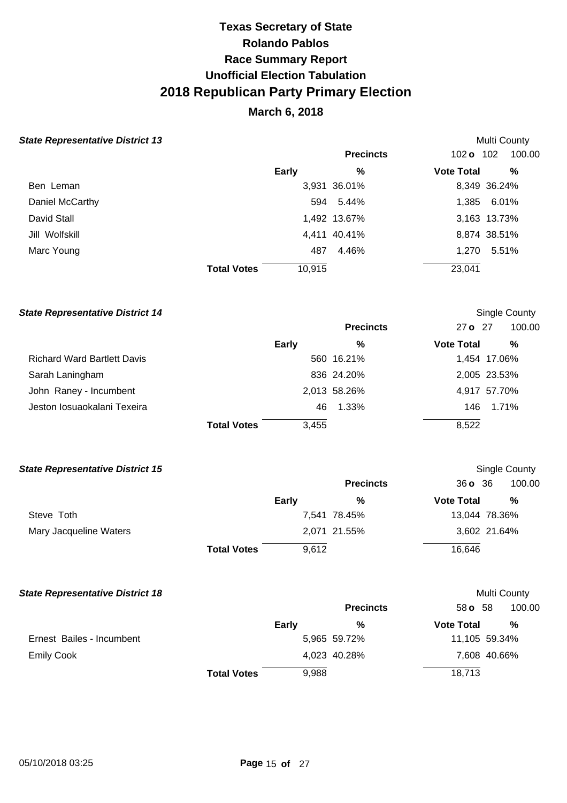# **March 6, 2018**

### **State Representative District 13 Multi County Assets and State Representative District 13**

| $\frac{1}{2}$   |                    |              |                  |                   |              |
|-----------------|--------------------|--------------|------------------|-------------------|--------------|
|                 |                    |              | <b>Precincts</b> | 102 o 102         | 100.00       |
|                 |                    | <b>Early</b> | %                | <b>Vote Total</b> | %            |
| Ben Leman       |                    |              | 3,931 36.01%     |                   | 8,349 36.24% |
| Daniel McCarthy |                    |              | 594 5.44%        |                   | 1,385 6.01%  |
| David Stall     |                    |              | 1,492 13.67%     |                   | 3,163 13.73% |
| Jill Wolfskill  |                    |              | 4,411 40.41%     |                   | 8,874 38.51% |
| Marc Young      |                    | 487          | 4.46%            |                   | 1,270 5.51%  |
|                 | <b>Total Votes</b> | 10,915       |                  | 23,041            |              |
|                 |                    |              |                  |                   |              |

### **State Representative District 14 Single County Single County Single County**

|                                    |                    |              | <b>Precincts</b> | $27$ o $27$       | 100.00       |
|------------------------------------|--------------------|--------------|------------------|-------------------|--------------|
|                                    |                    | <b>Early</b> | %                | <b>Vote Total</b> | %            |
| <b>Richard Ward Bartlett Davis</b> |                    |              | 560 16.21%       |                   | 1,454 17.06% |
| Sarah Laningham                    |                    |              | 836 24.20%       |                   | 2,005 23.53% |
| John Raney - Incumbent             |                    |              | 2,013 58.26%     |                   | 4,917 57.70% |
| Jeston losuaokalani Texeira        |                    | 46.          | 1.33%            | 146               | 1.71%        |
|                                    | <b>Total Votes</b> | 3,455        |                  | 8,522             |              |

### **State Representative District 15 Single County Single County Single County Single County**

|                        |                    |              | <b>Precincts</b> | 36036             | 100.00        |
|------------------------|--------------------|--------------|------------------|-------------------|---------------|
|                        |                    | <b>Early</b> | %                | <b>Vote Total</b> | %             |
| Steve Toth             |                    |              | 7,541 78.45%     |                   | 13,044 78.36% |
| Mary Jacqueline Waters |                    |              | 2,071 21.55%     |                   | 3,602 21.64%  |
|                        | <b>Total Votes</b> | 9,612        |                  | 16,646            |               |

### **State Representative District 18 State Representative District 18**

|                           |                    |       | <b>Precincts</b> | 58 <b>o</b> 58    | 100.00        |
|---------------------------|--------------------|-------|------------------|-------------------|---------------|
|                           |                    | Early | %                | <b>Vote Total</b> | %             |
| Ernest Bailes - Incumbent |                    |       | 5,965 59.72%     |                   | 11,105 59.34% |
| <b>Emily Cook</b>         |                    |       | 4,023 40.28%     |                   | 7,608 40.66%  |
|                           | <b>Total Votes</b> | 9,988 |                  | 18,713            |               |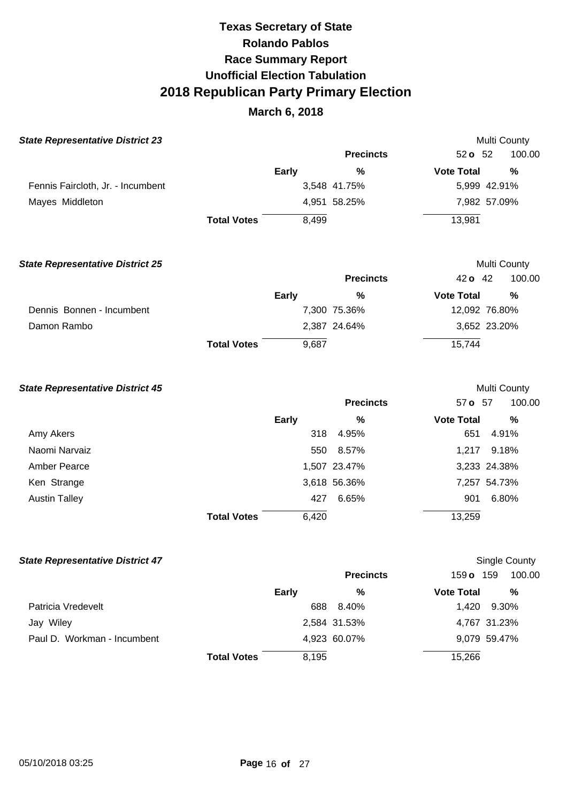## **March 6, 2018**

| <b>State Representative District 23</b> |                    |       |                  |                   | <b>Multi County</b> |
|-----------------------------------------|--------------------|-------|------------------|-------------------|---------------------|
|                                         |                    |       | <b>Precincts</b> | $52o$ 52          | 100.00              |
|                                         |                    | Early | %                | <b>Vote Total</b> | $\%$                |
| Fennis Faircloth, Jr. - Incumbent       |                    |       | 3,548 41.75%     |                   | 5,999 42.91%        |
| Mayes Middleton                         |                    |       | 4,951 58.25%     |                   | 7,982 57.09%        |
|                                         | <b>Total Votes</b> | 8,499 |                  | 13,981            |                     |
| <b>State Representative District 25</b> |                    |       |                  |                   | <b>Multi County</b> |
|                                         |                    |       | <b>Precincts</b> | $42o$ 42          | 100.00              |
|                                         |                    | Early | %                | <b>Vote Total</b> | $\%$                |
| Dennis Bonnen - Incumbent               |                    |       | 7,300 75.36%     |                   | 12,092 76.80%       |
| Damon Rambo                             |                    |       | 2,387 24.64%     |                   | 3,652 23.20%        |
|                                         | <b>Total Votes</b> | 9,687 |                  | 15,744            |                     |

# **State Representative District 45 Multi County Multi County Multi County Precincts** 57 **o** 57 100.00 **Early % Vote Total %**  Amy Akers 318 4.95% 651 4.91% Naomi Narvaiz **1,217** 9.18% Amber Pearce 1,507 23.47% 3,233 24.38% Ken Strange 3,618 56.36% 7,257 54.73% Austin Talley **427** 6.65% 901 6.80% **Total Votes** 6,420 13,259

| <b>State Representative District 47</b> |                    |              |                  |                   | Single County |
|-----------------------------------------|--------------------|--------------|------------------|-------------------|---------------|
|                                         |                    |              | <b>Precincts</b> | 159 o             | 100.00<br>159 |
|                                         |                    | <b>Early</b> | %                | <b>Vote Total</b> | %             |
| Patricia Vredevelt                      |                    | 688          | 8.40%            | 1.420             | 9.30%         |
| Jay Wiley                               |                    |              | 2,584 31.53%     |                   | 4,767 31.23%  |
| Paul D. Workman - Incumbent             |                    |              | 4,923 60.07%     |                   | 9,079 59.47%  |
|                                         | <b>Total Votes</b> | 8,195        |                  | 15,266            |               |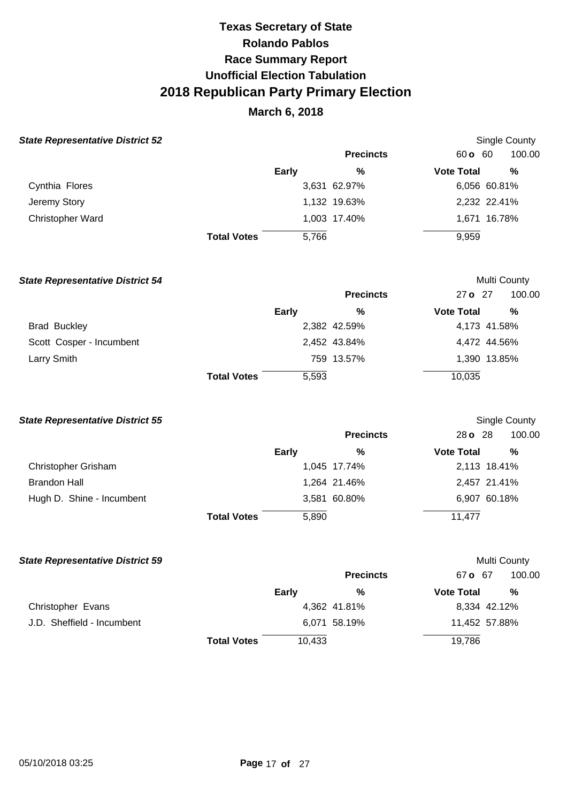# **March 6, 2018**

|  | <b>State Representative District 52</b> |  |
|--|-----------------------------------------|--|
|--|-----------------------------------------|--|

| tate Representative District 52 |                    |       |                  |                   | Single County |  |
|---------------------------------|--------------------|-------|------------------|-------------------|---------------|--|
|                                 |                    |       | <b>Precincts</b> | 60 o 60           | 100.00        |  |
|                                 |                    | Early | %                | <b>Vote Total</b> | %             |  |
| Cynthia Flores                  |                    |       | 3,631 62.97%     |                   | 6,056 60.81%  |  |
| Jeremy Story                    |                    |       | 1,132 19.63%     |                   | 2,232 22.41%  |  |
| <b>Christopher Ward</b>         |                    |       | 1,003 17.40%     |                   | 1,671 16.78%  |  |
|                                 | <b>Total Votes</b> | 5.766 |                  | 9,959             |               |  |

| <b>State Representative District 54</b> |                    |              |                  |                   | Multi County |
|-----------------------------------------|--------------------|--------------|------------------|-------------------|--------------|
|                                         |                    |              | <b>Precincts</b> | 27 o 27           | 100.00       |
|                                         |                    | <b>Early</b> | %                | <b>Vote Total</b> | %            |
| <b>Brad Buckley</b>                     |                    |              | 2,382 42.59%     |                   | 4,173 41.58% |
| Scott Cosper - Incumbent                |                    |              | 2,452 43.84%     |                   | 4,472 44.56% |
| Larry Smith                             |                    |              | 759 13.57%       |                   | 1,390 13.85% |
|                                         | <b>Total Votes</b> | 5,593        |                  | 10,035            |              |

### **State Representative District 55**

| <b>State Representative District 55</b> |                    |              |                  |                   | Single County |
|-----------------------------------------|--------------------|--------------|------------------|-------------------|---------------|
|                                         |                    |              | <b>Precincts</b> | 28 <b>o</b> 28    | 100.00        |
|                                         |                    | <b>Early</b> | %                | <b>Vote Total</b> | %             |
| <b>Christopher Grisham</b>              |                    |              | 1,045 17.74%     |                   | 2,113 18.41%  |
| <b>Brandon Hall</b>                     |                    |              | 1,264 21.46%     |                   | 2,457 21.41%  |
| Hugh D. Shine - Incumbent               |                    |              | 3,581 60.80%     |                   | 6,907 60.18%  |
|                                         | <b>Total Votes</b> | 5,890        |                  | 11,477            |               |

| <b>State Representative District 59</b> |                    |        |                  |                   | Multi County  |
|-----------------------------------------|--------------------|--------|------------------|-------------------|---------------|
|                                         |                    |        | <b>Precincts</b> | 67 o 67           | 100.00        |
|                                         |                    | Early  | %                | <b>Vote Total</b> | $\frac{0}{0}$ |
| Christopher Evans                       |                    |        | 4,362 41.81%     | 8,334 42.12%      |               |
| J.D. Sheffield - Incumbent              |                    |        | 6,071 58.19%     | 11,452 57.88%     |               |
|                                         | <b>Total Votes</b> | 10,433 |                  | 19,786            |               |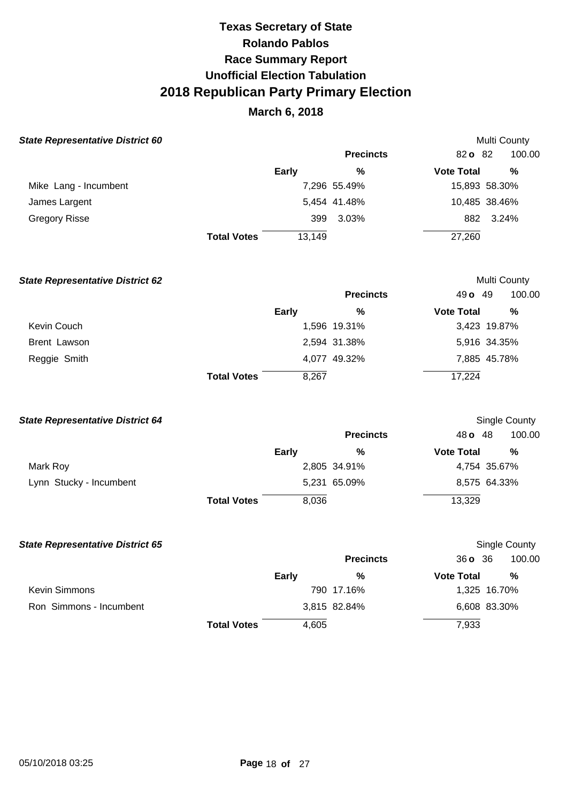| <b>State Representative District 60</b> |                    |              |                  |                   | Multi County  |
|-----------------------------------------|--------------------|--------------|------------------|-------------------|---------------|
|                                         |                    |              | <b>Precincts</b> | 82o 82            | 100.00        |
|                                         |                    | <b>Early</b> | %                | <b>Vote Total</b> | %             |
| Mike Lang - Incumbent                   |                    |              | 7,296 55.49%     |                   | 15,893 58.30% |
| James Largent                           |                    |              | 5,454 41.48%     |                   | 10,485 38.46% |
| <b>Gregory Risse</b>                    |                    | 399          | $3.03\%$         | 882               | 3.24%         |
|                                         | <b>Total Votes</b> | 13,149       |                  | 27,260            |               |

| <b>State Representative District 62</b> |                    |              |                  |                   | Multi County  |
|-----------------------------------------|--------------------|--------------|------------------|-------------------|---------------|
|                                         |                    |              | <b>Precincts</b> | 49 $\sigma$ 49    | 100.00        |
|                                         |                    | <b>Early</b> | %                | <b>Vote Total</b> | $\frac{0}{0}$ |
| Kevin Couch                             |                    |              | 1,596 19.31%     |                   | 3,423 19.87%  |
| <b>Brent Lawson</b>                     |                    |              | 2,594 31.38%     |                   | 5,916 34.35%  |
| Reggie Smith                            |                    |              | 4,077 49.32%     |                   | 7,885 45.78%  |
|                                         | <b>Total Votes</b> | 8,267        |                  | 17,224            |               |

| <b>State Representative District 64</b> |                    |              |                  |                   | Single County |  |
|-----------------------------------------|--------------------|--------------|------------------|-------------------|---------------|--|
|                                         |                    |              | <b>Precincts</b> | 48 <b>o</b> 48    | 100.00        |  |
|                                         |                    | <b>Early</b> | %                | <b>Vote Total</b> | %             |  |
| Mark Roy                                |                    |              | 2,805 34.91%     |                   | 4,754 35.67%  |  |
| Lynn Stucky - Incumbent                 |                    |              | 5,231 65.09%     |                   | 8,575 64.33%  |  |
|                                         | <b>Total Votes</b> | 8.036        |                  | 13,329            |               |  |

| <b>State Representative District 65</b> |                    |              |                  |                   | Single County |
|-----------------------------------------|--------------------|--------------|------------------|-------------------|---------------|
|                                         |                    |              | <b>Precincts</b> | 360, 36           | 100.00        |
|                                         |                    | <b>Early</b> | %                | <b>Vote Total</b> | %             |
| <b>Kevin Simmons</b>                    |                    |              | 790 17.16%       |                   | 1,325 16.70%  |
| Ron Simmons - Incumbent                 |                    |              | 3,815 82.84%     |                   | 6,608 83.30%  |
|                                         | <b>Total Votes</b> | 4,605        |                  | 7,933             |               |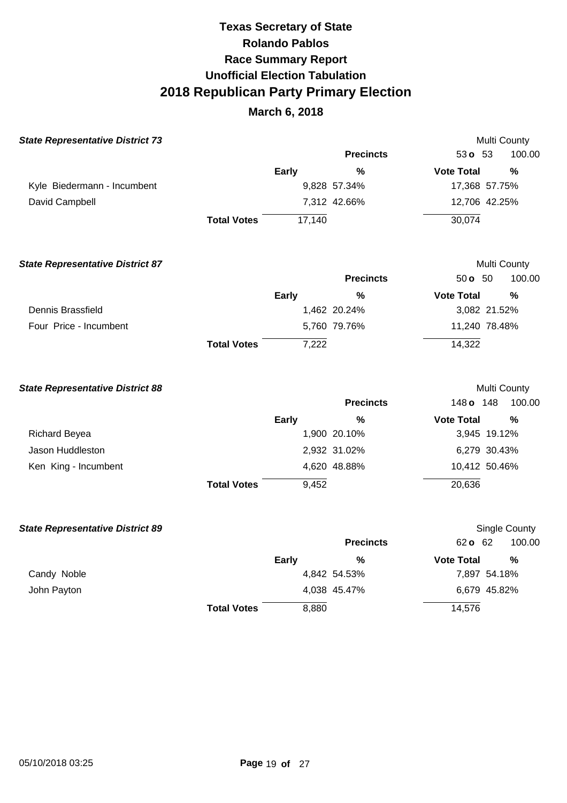| <b>State Representative District 73</b> |                    |              |                  |                   | Multi County  |
|-----------------------------------------|--------------------|--------------|------------------|-------------------|---------------|
|                                         |                    |              | <b>Precincts</b> | 53 o 53           | 100.00        |
|                                         |                    | <b>Early</b> | %                | <b>Vote Total</b> | %             |
| Kyle Biedermann - Incumbent             |                    |              | 9,828 57.34%     | 17,368 57.75%     |               |
| David Campbell                          |                    |              | 7,312 42.66%     | 12,706 42.25%     |               |
|                                         | <b>Total Votes</b> | 17, 140      |                  | 30,074            |               |
| <b>State Representative District 87</b> |                    |              |                  |                   | Multi County  |
|                                         |                    |              | <b>Precincts</b> | 50 <b>o</b> 50    | 100.00        |
|                                         |                    | <b>Early</b> | %                | <b>Vote Total</b> | %             |
| Dennis Brassfield                       |                    |              | 1,462 20.24%     | 3,082 21.52%      |               |
| Four Price - Incumbent                  |                    |              | 5,760 79.76%     | 11,240 78.48%     |               |
|                                         | <b>Total Votes</b> | 7,222        |                  | 14,322            |               |
| <b>State Representative District 88</b> |                    |              |                  |                   | Multi County  |
|                                         |                    |              | <b>Precincts</b> | 148 o 148         | 100.00        |
|                                         |                    | <b>Early</b> | %                | <b>Vote Total</b> | %             |
| <b>Richard Beyea</b>                    |                    |              | 1,900 20.10%     | 3,945 19.12%      |               |
| Jason Huddleston                        |                    |              | 2,932 31.02%     | 6,279 30.43%      |               |
| Ken King - Incumbent                    |                    |              | 4,620 48.88%     | 10,412 50.46%     |               |
|                                         | <b>Total Votes</b> | 9,452        |                  | 20,636            |               |
| <b>State Representative District 89</b> |                    |              |                  |                   | Single County |
|                                         |                    |              | <b>Precincts</b> | 62 o 62           | 100.00        |
|                                         |                    | Early        | %                | <b>Vote Total</b> | %             |
| Candy Noble                             |                    |              | 4,842 54.53%     | 7,897 54.18%      |               |
| John Payton                             |                    |              | 4,038 45.47%     | 6,679 45.82%      |               |
|                                         | <b>Total Votes</b> | 8,880        |                  | 14,576            |               |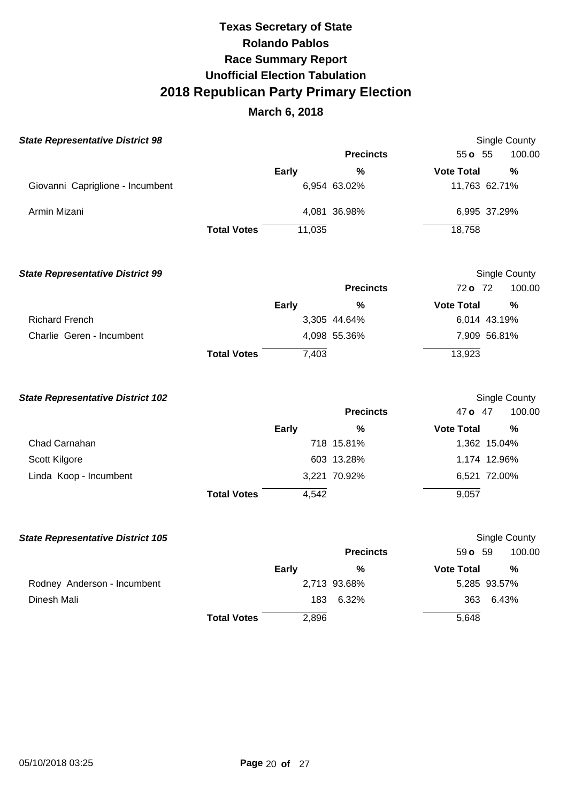# **March 6, 2018**

| <b>State Representative District 98</b> |                    |              |                  |                   | <b>Single County</b> |
|-----------------------------------------|--------------------|--------------|------------------|-------------------|----------------------|
|                                         |                    |              | <b>Precincts</b> | $55 \text{ o}$ 55 | 100.00               |
|                                         |                    | <b>Early</b> | %                | <b>Vote Total</b> | %                    |
| Giovanni Capriglione - Incumbent        |                    |              | 6,954 63.02%     |                   | 11,763 62.71%        |
| Armin Mizani                            |                    |              | 4,081 36.98%     |                   | 6,995 37.29%         |
|                                         | <b>Total Votes</b> | 11,035       |                  | 18,758            |                      |

### **State Representative District 99**

|                           |                    |       | <b>Precincts</b> | 72 o 72           | 100.00       |
|---------------------------|--------------------|-------|------------------|-------------------|--------------|
|                           |                    | Early | %                | <b>Vote Total</b> | %            |
| <b>Richard French</b>     |                    |       | 3,305 44.64%     |                   | 6,014 43.19% |
| Charlie Geren - Incumbent |                    |       | 4,098 55.36%     |                   | 7,909 56.81% |
|                           | <b>Total Votes</b> | 7,403 |                  | 13,923            |              |

Single County

| <b>State Representative District 102</b> |                    |              |                  |                   | Single County |
|------------------------------------------|--------------------|--------------|------------------|-------------------|---------------|
|                                          |                    |              | <b>Precincts</b> | 47 o              | 100.00<br>-47 |
|                                          |                    | <b>Early</b> | %                | <b>Vote Total</b> | %             |
| Chad Carnahan                            |                    |              | 718 15.81%       |                   | 1,362 15.04%  |
| Scott Kilgore                            |                    |              | 603 13.28%       |                   | 1,174 12.96%  |
| Linda Koop - Incumbent                   |                    |              | 3,221 70.92%     |                   | 6,521 72.00%  |
|                                          | <b>Total Votes</b> | 4,542        |                  | 9,057             |               |

| <b>State Representative District 105</b> |                    |              |                  |                   | Single County |
|------------------------------------------|--------------------|--------------|------------------|-------------------|---------------|
|                                          |                    |              | <b>Precincts</b> | $59o$ 59          | 100.00        |
|                                          |                    | <b>Early</b> | %                | <b>Vote Total</b> | %             |
| Rodney Anderson - Incumbent              |                    |              | 2,713 93.68%     |                   | 5,285 93.57%  |
| Dinesh Mali                              |                    | 183          | 6.32%            | 363               | 6.43%         |
|                                          | <b>Total Votes</b> | 2,896        |                  | 5,648             |               |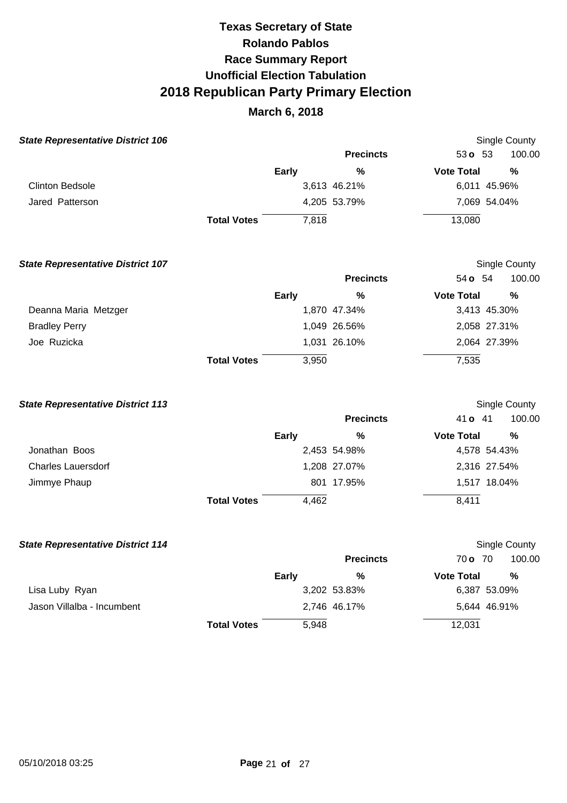## **March 6, 2018**

| <b>State Representative District 106</b> |                    |              |                  |                   | Single County |  |  |
|------------------------------------------|--------------------|--------------|------------------|-------------------|---------------|--|--|
|                                          |                    |              | <b>Precincts</b> | 53 $o$ 53         | 100.00        |  |  |
|                                          |                    | <b>Early</b> | %                | <b>Vote Total</b> | %             |  |  |
| <b>Clinton Bedsole</b>                   |                    |              | 3,613 46.21%     |                   | 6,011 45.96%  |  |  |
| Jared Patterson                          |                    |              | 4,205 53.79%     |                   | 7,069 54.04%  |  |  |
|                                          | <b>Total Votes</b> | 7.818        |                  | 13,080            |               |  |  |

| <b>State Representative District 107</b> |                    |              |                  |                   | Single County |
|------------------------------------------|--------------------|--------------|------------------|-------------------|---------------|
|                                          |                    |              | <b>Precincts</b> | 54 <b>o</b> 54    | 100.00        |
|                                          |                    | <b>Early</b> | %                | <b>Vote Total</b> | %             |
| Deanna Maria Metzger                     |                    |              | 1,870 47.34%     |                   | 3,413 45.30%  |
| <b>Bradley Perry</b>                     |                    |              | 1,049 26.56%     |                   | 2,058 27.31%  |
| Joe Ruzicka                              |                    |              | 1,031 26.10%     |                   | 2,064 27.39%  |
|                                          | <b>Total Votes</b> | 3,950        |                  | 7,535             |               |

#### **State Representative District 113**  Jonathan Boos Charles Lauersdorf Jimmye Phaup **Total Votes Early**  2,453 54.98% 1,208 27.07% 801 17.95% 4,462 **Precincts %**  Single County 41 **o** 41 100.00 **Vote Total %**  4,578 54.43% 2,316 27.54% 1,517 18.04% 8,411

| <b>State Representative District 114</b> |                    |       |                  |                   | <b>Single County</b> |
|------------------------------------------|--------------------|-------|------------------|-------------------|----------------------|
|                                          |                    |       | <b>Precincts</b> | 70 o 70           | 100.00               |
|                                          |                    | Early | %                | <b>Vote Total</b> | %                    |
| Lisa Luby Ryan                           |                    |       | 3,202 53.83%     |                   | 6,387 53.09%         |
| Jason Villalba - Incumbent               |                    |       | 2,746 46.17%     |                   | 5,644 46.91%         |
|                                          | <b>Total Votes</b> | 5,948 |                  | 12,031            |                      |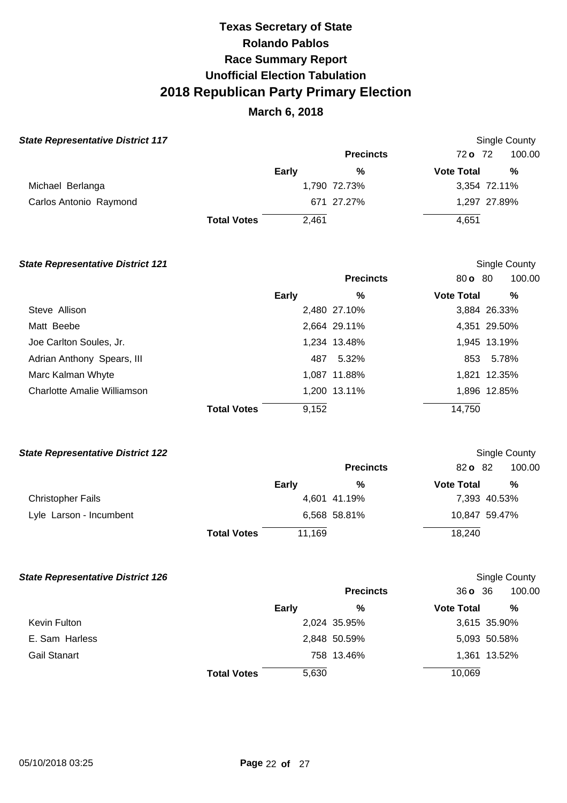# **March 6, 2018**

### **State Representative District 117 Single County State Representative District 117**

|                        |                    |       | <b>Precincts</b> | 72 o 72           | 100.00       |
|------------------------|--------------------|-------|------------------|-------------------|--------------|
|                        |                    | Early | %                | <b>Vote Total</b> | %            |
| Michael Berlanga       |                    |       | 1,790 72.73%     |                   | 3,354 72.11% |
| Carlos Antonio Raymond |                    |       | 671 27.27%       |                   | 1,297 27.89% |
|                        | <b>Total Votes</b> | 2.461 |                  | 4,651             |              |

### **State Representative District 121 Single County Single County Single County**

|                             |                    |       | <b>Precincts</b> | 80 o 80           | 100.00       |
|-----------------------------|--------------------|-------|------------------|-------------------|--------------|
|                             |                    | Early | %                | <b>Vote Total</b> | %            |
| Steve Allison               |                    |       | 2,480 27.10%     |                   | 3,884 26.33% |
| Matt Beebe                  |                    |       | 2,664 29.11%     |                   | 4,351 29.50% |
| Joe Carlton Soules, Jr.     |                    |       | 1,234 13.48%     |                   | 1,945 13.19% |
| Adrian Anthony Spears, III  |                    | 487   | 5.32%            |                   | 853 5.78%    |
| Marc Kalman Whyte           |                    |       | 1,087 11.88%     |                   | 1,821 12.35% |
| Charlotte Amalie Williamson |                    |       | 1,200 13.11%     |                   | 1,896 12.85% |
|                             | <b>Total Votes</b> | 9,152 |                  | 14,750            |              |

### **State Representative District 122 Single County Single County Single County**

|                          |                    |        | <b>Precincts</b> | 82 o 82           | 100.00        |
|--------------------------|--------------------|--------|------------------|-------------------|---------------|
|                          |                    | Early  | %                | <b>Vote Total</b> | %             |
| <b>Christopher Fails</b> |                    |        | 4,601 41.19%     |                   | 7,393 40.53%  |
| Lyle Larson - Incumbent  |                    |        | 6,568 58.81%     |                   | 10,847 59.47% |
|                          | <b>Total Votes</b> | 11,169 |                  | 18,240            |               |

## **State Representative District 126 Single County Single County Single County Single County**

|                     |                    |       |                  |                   | - - - - - -  |
|---------------------|--------------------|-------|------------------|-------------------|--------------|
|                     |                    |       | <b>Precincts</b> | 36036             | 100.00       |
|                     |                    | Early | %                | <b>Vote Total</b> | %            |
| Kevin Fulton        |                    |       | 2,024 35.95%     |                   | 3,615 35.90% |
| E. Sam Harless      |                    |       | 2,848 50.59%     |                   | 5,093 50.58% |
| <b>Gail Stanart</b> |                    |       | 758 13.46%       |                   | 1,361 13.52% |
|                     | <b>Total Votes</b> | 5,630 |                  | 10,069            |              |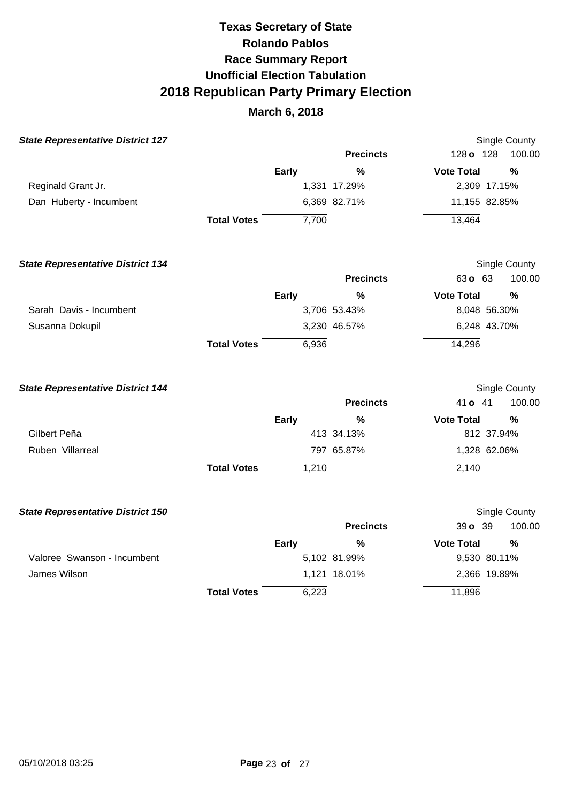| <b>State Representative District 127</b> |                    |              |                  |                   | <b>Single County</b> |
|------------------------------------------|--------------------|--------------|------------------|-------------------|----------------------|
|                                          |                    |              | <b>Precincts</b> | 128 o 128         | 100.00               |
|                                          |                    | Early        | $\frac{0}{0}$    | <b>Vote Total</b> | $\frac{0}{0}$        |
| Reginald Grant Jr.                       |                    |              | 1,331 17.29%     | 2,309 17.15%      |                      |
| Dan Huberty - Incumbent                  |                    |              | 6,369 82.71%     | 11,155 82.85%     |                      |
|                                          | <b>Total Votes</b> | 7,700        |                  | 13,464            |                      |
| <b>State Representative District 134</b> |                    |              |                  |                   | Single County        |
|                                          |                    |              | <b>Precincts</b> | 63 o 63           | 100.00               |
|                                          |                    | Early        | %                | <b>Vote Total</b> | %                    |
| Sarah Davis - Incumbent                  |                    |              | 3,706 53.43%     | 8,048 56.30%      |                      |
| Susanna Dokupil                          |                    |              | 3,230 46.57%     | 6,248 43.70%      |                      |
|                                          | <b>Total Votes</b> | 6,936        |                  | 14,296            |                      |
| <b>State Representative District 144</b> |                    |              |                  |                   | Single County        |
|                                          |                    |              | <b>Precincts</b> | 41 o 41           | 100.00               |
|                                          |                    | <b>Early</b> | %                | <b>Vote Total</b> | $\frac{9}{6}$        |
| Gilbert Peña                             |                    |              | 413 34.13%       | 812 37.94%        |                      |
| Ruben Villarreal                         |                    |              | 797 65.87%       | 1,328 62.06%      |                      |
|                                          | <b>Total Votes</b> | 1,210        |                  | 2,140             |                      |
| <b>State Representative District 150</b> |                    |              |                  |                   | Single County        |
|                                          |                    |              | <b>Precincts</b> | 39 o 39           | 100.00               |
|                                          |                    | <b>Early</b> | $\frac{0}{0}$    | <b>Vote Total</b> | $\frac{0}{0}$        |
| Valoree Swanson - Incumbent              |                    |              | 5,102 81.99%     | 9,530 80.11%      |                      |
| James Wilson                             |                    |              | 1,121 18.01%     | 2,366 19.89%      |                      |
|                                          | <b>Total Votes</b> | 6,223        |                  | 11,896            |                      |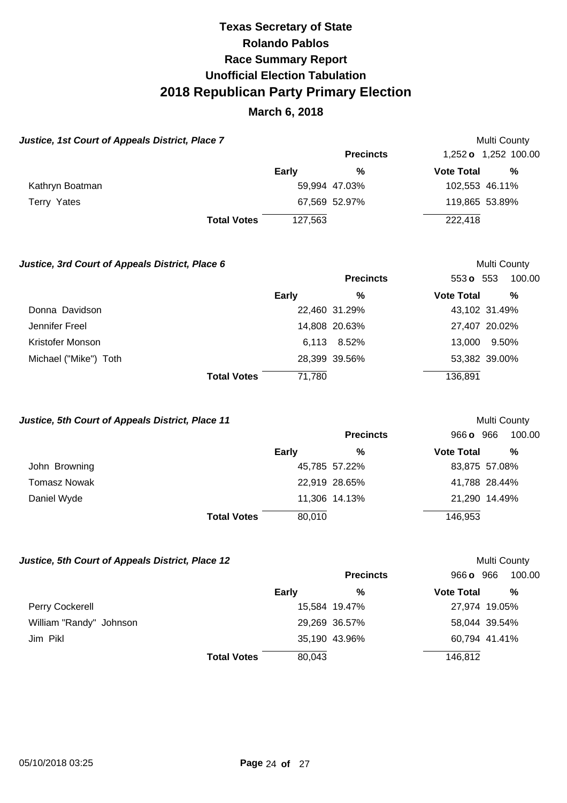# **March 6, 2018**

| Justice, 1st Court of Appeals District, Place 7 |                    |              |                  |                   | Multi County                |
|-------------------------------------------------|--------------------|--------------|------------------|-------------------|-----------------------------|
|                                                 |                    |              | <b>Precincts</b> |                   | 1,252 <b>o</b> 1,252 100.00 |
|                                                 |                    | <b>Early</b> | %                | <b>Vote Total</b> | %                           |
| Kathryn Boatman                                 |                    |              | 59,994 47.03%    |                   | 102,553 46.11%              |
| Terry Yates                                     |                    |              | 67,569 52.97%    |                   | 119,865 53.89%              |
|                                                 | <b>Total Votes</b> | 127.563      |                  | 222,418           |                             |

### **Justice, 3rd Court of Appeals District, Place 6 <br>
Multi County**

|                       |                              | <b>Precincts</b> | 553 $\sigma$ 553  | 100.00        |
|-----------------------|------------------------------|------------------|-------------------|---------------|
|                       | Early                        | %                | <b>Vote Total</b> | %             |
| Donna Davidson        |                              | 22,460 31.29%    |                   | 43,102 31.49% |
| Jennifer Freel        |                              | 14,808 20.63%    |                   | 27,407 20.02% |
| Kristofer Monson      |                              | 6,113 8.52%      | 13,000            | 9.50%         |
| Michael ("Mike") Toth |                              | 28,399 39.56%    |                   | 53,382 39.00% |
|                       | <b>Total Votes</b><br>71,780 |                  | 136,891           |               |

### **Justice, 5th Court of Appeals District, Place 11 Multi County Multi County**

|               |                              | <b>Precincts</b> | 966 o 966<br>100.00    |
|---------------|------------------------------|------------------|------------------------|
|               | <b>Early</b>                 | %                | %<br><b>Vote Total</b> |
| John Browning |                              | 45,785 57.22%    | 83,875 57.08%          |
| Tomasz Nowak  |                              | 22,919 28.65%    | 41,788 28.44%          |
| Daniel Wyde   |                              | 11,306 14.13%    | 21,290 14.49%          |
|               | 80,010<br><b>Total Votes</b> |                  | 146,953                |

## **Justice, 5th Court of Appeals District, Place 12 Multi County Multi County**

|                         |                    | <b>Precincts</b> | 966 o 966         | 100.00        |
|-------------------------|--------------------|------------------|-------------------|---------------|
|                         | Early              | %                | <b>Vote Total</b> | $\frac{0}{0}$ |
| Perry Cockerell         |                    | 15,584 19.47%    |                   | 27,974 19.05% |
| William "Randy" Johnson |                    | 29,269 36.57%    |                   | 58,044 39.54% |
| Jim Pikl                |                    | 35,190 43.96%    |                   | 60,794 41.41% |
|                         | <b>Total Votes</b> | 80,043           | 146,812           |               |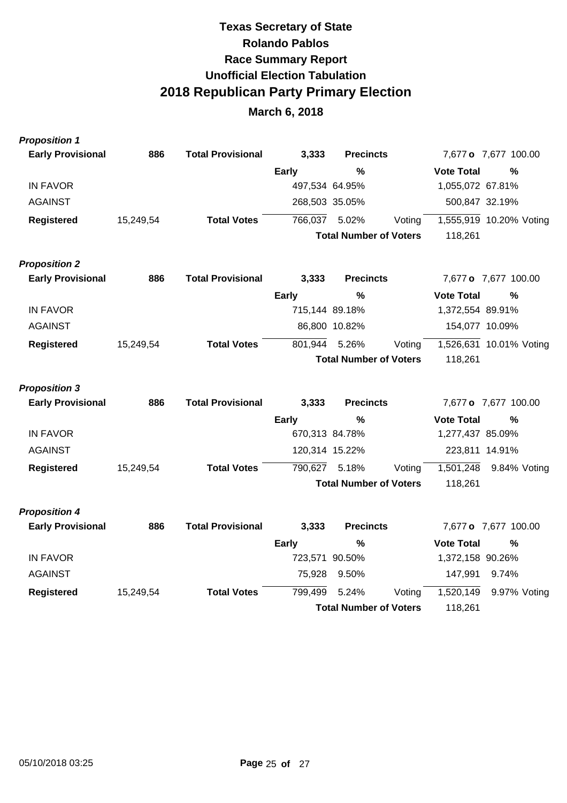| <b>Proposition 1</b>     |           |                          |                |                               |        |                   |                         |
|--------------------------|-----------|--------------------------|----------------|-------------------------------|--------|-------------------|-------------------------|
| <b>Early Provisional</b> | 886       | <b>Total Provisional</b> | 3,333          | <b>Precincts</b>              |        |                   | 7,677 o 7,677 100.00    |
|                          |           |                          | <b>Early</b>   | $\%$                          |        | <b>Vote Total</b> | %                       |
| <b>IN FAVOR</b>          |           |                          | 497,534 64.95% |                               |        | 1,055,072 67.81%  |                         |
| AGAINST                  |           |                          | 268,503 35.05% |                               |        | 500,847 32.19%    |                         |
| <b>Registered</b>        | 15,249,54 | <b>Total Votes</b>       | 766,037        | 5.02%                         | Voting |                   | 1,555,919 10.20% Voting |
|                          |           |                          |                | <b>Total Number of Voters</b> |        | 118,261           |                         |
| <b>Proposition 2</b>     |           |                          |                |                               |        |                   |                         |
| <b>Early Provisional</b> | 886       | <b>Total Provisional</b> | 3,333          | <b>Precincts</b>              |        |                   | 7,677 o 7,677 100.00    |
|                          |           |                          | <b>Early</b>   | $\frac{0}{0}$                 |        | <b>Vote Total</b> | %                       |
| <b>IN FAVOR</b>          |           |                          | 715,144 89.18% |                               |        | 1,372,554 89.91%  |                         |
| AGAINST                  |           |                          |                | 86,800 10.82%                 |        | 154,077 10.09%    |                         |
| <b>Registered</b>        | 15,249,54 | <b>Total Votes</b>       | 801,944        | 5.26%                         | Voting |                   | 1,526,631 10.01% Voting |
|                          |           |                          |                | <b>Total Number of Voters</b> |        | 118,261           |                         |
| <b>Proposition 3</b>     |           |                          |                |                               |        |                   |                         |
| <b>Early Provisional</b> | 886       | <b>Total Provisional</b> | 3,333          | <b>Precincts</b>              |        |                   | 7,677 o 7,677 100.00    |
|                          |           |                          | <b>Early</b>   | $\frac{0}{0}$                 |        | <b>Vote Total</b> | $\frac{9}{6}$           |
| <b>IN FAVOR</b>          |           |                          | 670,313 84.78% |                               |        | 1,277,437 85.09%  |                         |
| <b>AGAINST</b>           |           |                          | 120,314 15.22% |                               |        | 223,811 14.91%    |                         |
| <b>Registered</b>        | 15,249,54 | <b>Total Votes</b>       | 790,627        | 5.18%                         | Voting | 1,501,248         | 9.84% Voting            |
|                          |           |                          |                | <b>Total Number of Voters</b> |        | 118,261           |                         |
| <b>Proposition 4</b>     |           |                          |                |                               |        |                   |                         |
| <b>Early Provisional</b> | 886       | <b>Total Provisional</b> | 3,333          | <b>Precincts</b>              |        |                   | 7,677 o 7,677 100.00    |
|                          |           |                          | Early          | $\frac{0}{0}$                 |        | <b>Vote Total</b> | $\%$                    |
| <b>IN FAVOR</b>          |           |                          | 723,571 90.50% |                               |        | 1,372,158 90.26%  |                         |
| <b>AGAINST</b>           |           |                          | 75,928         | 9.50%                         |        | 147,991           | 9.74%                   |
| <b>Registered</b>        | 15,249,54 | <b>Total Votes</b>       | 799,499        | 5.24%                         | Voting | 1,520,149         | 9.97% Voting            |
|                          |           |                          |                | <b>Total Number of Voters</b> |        | 118,261           |                         |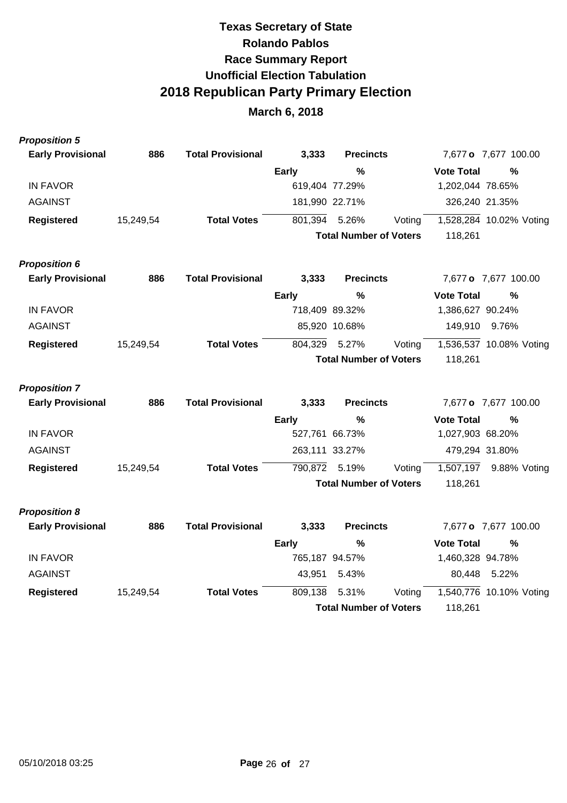| <b>Proposition 5</b>     |           |                          |              |                               |         |                   |                         |
|--------------------------|-----------|--------------------------|--------------|-------------------------------|---------|-------------------|-------------------------|
| <b>Early Provisional</b> | 886       | <b>Total Provisional</b> | 3,333        | <b>Precincts</b>              |         |                   | 7,677 o 7,677 100.00    |
|                          |           |                          | <b>Early</b> | %                             |         | <b>Vote Total</b> | %                       |
| <b>IN FAVOR</b>          |           |                          |              | 619,404 77.29%                |         | 1,202,044 78.65%  |                         |
| <b>AGAINST</b>           |           |                          |              | 181,990 22.71%                |         |                   | 326,240 21.35%          |
| <b>Registered</b>        | 15,249,54 | <b>Total Votes</b>       | 801,394      | 5.26%                         | Voting  |                   | 1,528,284 10.02% Voting |
|                          |           |                          |              | <b>Total Number of Voters</b> |         | 118,261           |                         |
| <b>Proposition 6</b>     |           |                          |              |                               |         |                   |                         |
| <b>Early Provisional</b> | 886       | <b>Total Provisional</b> | 3,333        | <b>Precincts</b>              |         |                   | 7,677 o 7,677 100.00    |
|                          |           |                          | <b>Early</b> | $\frac{0}{0}$                 |         | <b>Vote Total</b> | %                       |
| <b>IN FAVOR</b>          |           |                          |              | 718,409 89.32%                |         | 1,386,627 90.24%  |                         |
| <b>AGAINST</b>           |           |                          |              | 85,920 10.68%                 |         | 149,910           | 9.76%                   |
| <b>Registered</b>        | 15,249,54 | <b>Total Votes</b>       | 804,329      | 5.27%                         | Voting  |                   | 1,536,537 10.08% Voting |
|                          |           |                          |              | <b>Total Number of Voters</b> |         | 118,261           |                         |
| <b>Proposition 7</b>     |           |                          |              |                               |         |                   |                         |
| <b>Early Provisional</b> | 886       | <b>Total Provisional</b> | 3,333        | <b>Precincts</b>              |         |                   | 7,677 o 7,677 100.00    |
|                          |           |                          | <b>Early</b> | %                             |         | <b>Vote Total</b> | $\%$                    |
| <b>IN FAVOR</b>          |           |                          |              | 527,761 66.73%                |         | 1,027,903 68.20%  |                         |
| <b>AGAINST</b>           |           |                          |              | 263,111 33.27%                |         |                   | 479,294 31.80%          |
| <b>Registered</b>        | 15,249,54 | <b>Total Votes</b>       | 790,872      | 5.19%                         | Voting  | 1,507,197         | 9.88% Voting            |
|                          |           |                          |              | <b>Total Number of Voters</b> |         | 118,261           |                         |
| <b>Proposition 8</b>     |           |                          |              |                               |         |                   |                         |
| <b>Early Provisional</b> | 886       | <b>Total Provisional</b> | 3,333        | <b>Precincts</b>              |         |                   | 7,677 o 7,677 100.00    |
|                          |           |                          | <b>Early</b> | $\%$                          |         | <b>Vote Total</b> | $\%$                    |
| <b>IN FAVOR</b>          |           |                          |              | 765,187 94.57%                |         | 1,460,328 94.78%  |                         |
| <b>AGAINST</b>           |           |                          | 43,951       | 5.43%                         |         | 80,448            | 5.22%                   |
| <b>Registered</b>        | 15,249,54 | <b>Total Votes</b>       | 809,138      | 5.31%                         | Voting  |                   | 1,540,776 10.10% Voting |
|                          |           |                          |              | <b>Total Number of Voters</b> | 118,261 |                   |                         |